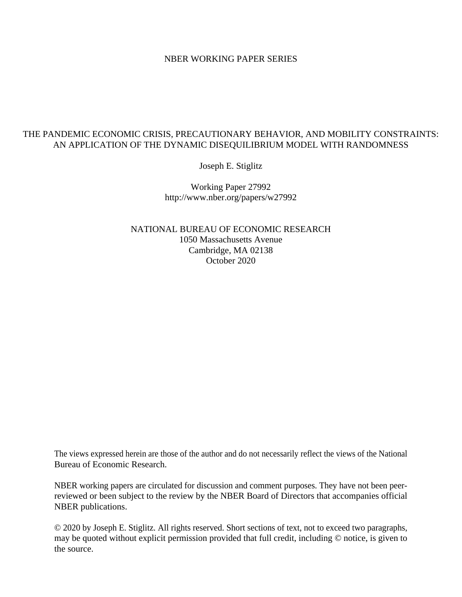#### NBER WORKING PAPER SERIES

### THE PANDEMIC ECONOMIC CRISIS, PRECAUTIONARY BEHAVIOR, AND MOBILITY CONSTRAINTS: AN APPLICATION OF THE DYNAMIC DISEQUILIBRIUM MODEL WITH RANDOMNESS

Joseph E. Stiglitz

Working Paper 27992 http://www.nber.org/papers/w27992

NATIONAL BUREAU OF ECONOMIC RESEARCH 1050 Massachusetts Avenue Cambridge, MA 02138 October 2020

The views expressed herein are those of the author and do not necessarily reflect the views of the National Bureau of Economic Research.

NBER working papers are circulated for discussion and comment purposes. They have not been peerreviewed or been subject to the review by the NBER Board of Directors that accompanies official NBER publications.

© 2020 by Joseph E. Stiglitz. All rights reserved. Short sections of text, not to exceed two paragraphs, may be quoted without explicit permission provided that full credit, including © notice, is given to the source.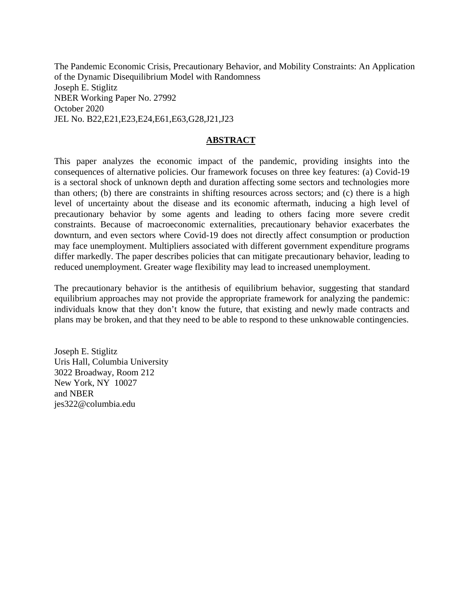The Pandemic Economic Crisis, Precautionary Behavior, and Mobility Constraints: An Application of the Dynamic Disequilibrium Model with Randomness Joseph E. Stiglitz NBER Working Paper No. 27992 October 2020 JEL No. B22,E21,E23,E24,E61,E63,G28,J21,J23

### **ABSTRACT**

This paper analyzes the economic impact of the pandemic, providing insights into the consequences of alternative policies. Our framework focuses on three key features: (a) Covid-19 is a sectoral shock of unknown depth and duration affecting some sectors and technologies more than others; (b) there are constraints in shifting resources across sectors; and (c) there is a high level of uncertainty about the disease and its economic aftermath, inducing a high level of precautionary behavior by some agents and leading to others facing more severe credit constraints. Because of macroeconomic externalities, precautionary behavior exacerbates the downturn, and even sectors where Covid-19 does not directly affect consumption or production may face unemployment. Multipliers associated with different government expenditure programs differ markedly. The paper describes policies that can mitigate precautionary behavior, leading to reduced unemployment. Greater wage flexibility may lead to increased unemployment.

The precautionary behavior is the antithesis of equilibrium behavior, suggesting that standard equilibrium approaches may not provide the appropriate framework for analyzing the pandemic: individuals know that they don't know the future, that existing and newly made contracts and plans may be broken, and that they need to be able to respond to these unknowable contingencies.

Joseph E. Stiglitz Uris Hall, Columbia University 3022 Broadway, Room 212 New York, NY 10027 and NBER jes322@columbia.edu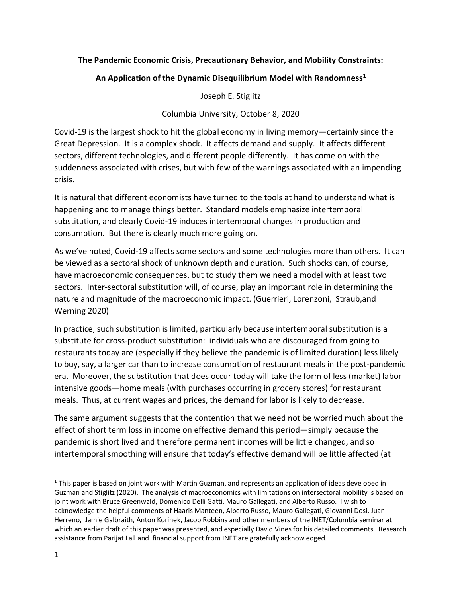### **The Pandemic Economic Crisis, Precautionary Behavior, and Mobility Constraints:**

## **An Application of the Dynamic Disequilibrium Model with Randomness[1](#page-2-0)**

Joseph E. Stiglitz

Columbia University, October 8, 2020

Covid-19 is the largest shock to hit the global economy in living memory—certainly since the Great Depression. It is a complex shock. It affects demand and supply. It affects different sectors, different technologies, and different people differently. It has come on with the suddenness associated with crises, but with few of the warnings associated with an impending crisis.

It is natural that different economists have turned to the tools at hand to understand what is happening and to manage things better. Standard models emphasize intertemporal substitution, and clearly Covid-19 induces intertemporal changes in production and consumption. But there is clearly much more going on.

As we've noted, Covid-19 affects some sectors and some technologies more than others. It can be viewed as a sectoral shock of unknown depth and duration. Such shocks can, of course, have macroeconomic consequences, but to study them we need a model with at least two sectors. Inter-sectoral substitution will, of course, play an important role in determining the nature and magnitude of the macroeconomic impact. (Guerrieri, Lorenzoni, Straub,and Werning 2020)

In practice, such substitution is limited, particularly because intertemporal substitution is a substitute for cross-product substitution: individuals who are discouraged from going to restaurants today are (especially if they believe the pandemic is of limited duration) less likely to buy, say, a larger car than to increase consumption of restaurant meals in the post-pandemic era. Moreover, the substitution that does occur today will take the form of less (market) labor intensive goods—home meals (with purchases occurring in grocery stores) for restaurant meals. Thus, at current wages and prices, the demand for labor is likely to decrease.

The same argument suggests that the contention that we need not be worried much about the effect of short term loss in income on effective demand this period—simply because the pandemic is short lived and therefore permanent incomes will be little changed, and so intertemporal smoothing will ensure that today's effective demand will be little affected (at

<span id="page-2-0"></span> $1$  This paper is based on joint work with Martin Guzman, and represents an application of ideas developed in Guzman and Stiglitz (2020). The analysis of macroeconomics with limitations on intersectoral mobility is based on joint work with Bruce Greenwald, Domenico Delli Gatti, Mauro Gallegati, and Alberto Russo. I wish to acknowledge the helpful comments of Haaris Manteen, Alberto Russo, Mauro Gallegati, Giovanni Dosi, Juan Herreno, Jamie Galbraith, Anton Korinek, Jacob Robbins and other members of the INET/Columbia seminar at which an earlier draft of this paper was presented, and especially David Vines for his detailed comments. Research assistance from Parijat Lall and financial support from INET are gratefully acknowledged.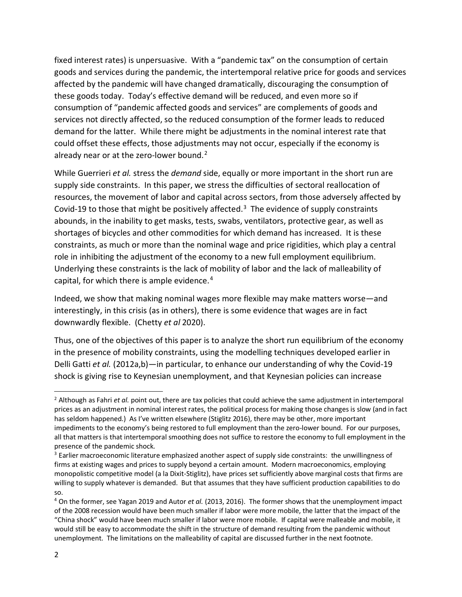fixed interest rates) is unpersuasive. With a "pandemic tax" on the consumption of certain goods and services during the pandemic, the intertemporal relative price for goods and services affected by the pandemic will have changed dramatically, discouraging the consumption of these goods today. Today's effective demand will be reduced, and even more so if consumption of "pandemic affected goods and services" are complements of goods and services not directly affected, so the reduced consumption of the former leads to reduced demand for the latter. While there might be adjustments in the nominal interest rate that could offset these effects, those adjustments may not occur, especially if the economy is already near or at the zero-lower bound. $2$ 

While Guerrieri *et al.* stress the *demand* side, equally or more important in the short run are supply side constraints. In this paper, we stress the difficulties of sectoral reallocation of resources, the movement of labor and capital across sectors, from those adversely affected by Covid-19 to those that might be positively affected.<sup>[3](#page-3-1)</sup> The evidence of supply constraints abounds, in the inability to get masks, tests, swabs, ventilators, protective gear, as well as shortages of bicycles and other commodities for which demand has increased. It is these constraints, as much or more than the nominal wage and price rigidities, which play a central role in inhibiting the adjustment of the economy to a new full employment equilibrium. Underlying these constraints is the lack of mobility of labor and the lack of malleability of capital, for which there is ample evidence.<sup>[4](#page-3-2)</sup>

Indeed, we show that making nominal wages more flexible may make matters worse—and interestingly, in this crisis (as in others), there is some evidence that wages are in fact downwardly flexible. (Chetty *et al* 2020).

Thus, one of the objectives of this paper is to analyze the short run equilibrium of the economy in the presence of mobility constraints, using the modelling techniques developed earlier in Delli Gatti *et al.* (2012a,b)—in particular, to enhance our understanding of why the Covid-19 shock is giving rise to Keynesian unemployment, and that Keynesian policies can increase

<span id="page-3-0"></span> <sup>2</sup> Although as Fahri *et al.* point out, there are tax policies that could achieve the same adjustment in intertemporal prices as an adjustment in nominal interest rates, the political process for making those changes is slow (and in fact has seldom happened.) As I've written elsewhere (Stiglitz 2016), there may be other, more important impediments to the economy's being restored to full employment than the zero-lower bound. For our purposes, all that matters is that intertemporal smoothing does not suffice to restore the economy to full employment in the presence of the pandemic shock.

<span id="page-3-1"></span><sup>&</sup>lt;sup>3</sup> Earlier macroeconomic literature emphasized another aspect of supply side constraints: the unwillingness of firms at existing wages and prices to supply beyond a certain amount. Modern macroeconomics, employing monopolistic competitive model (a la Dixit-Stiglitz), have prices set sufficiently above marginal costs that firms are willing to supply whatever is demanded. But that assumes that they have sufficient production capabilities to do so.

<span id="page-3-2"></span><sup>4</sup> On the former, see Yagan 2019 and Autor *et al.* (2013, 2016). The former shows that the unemployment impact of the 2008 recession would have been much smaller if labor were more mobile, the latter that the impact of the "China shock" would have been much smaller if labor were more mobile. If capital were malleable and mobile, it would still be easy to accommodate the shift in the structure of demand resulting from the pandemic without unemployment. The limitations on the malleability of capital are discussed further in the next footnote.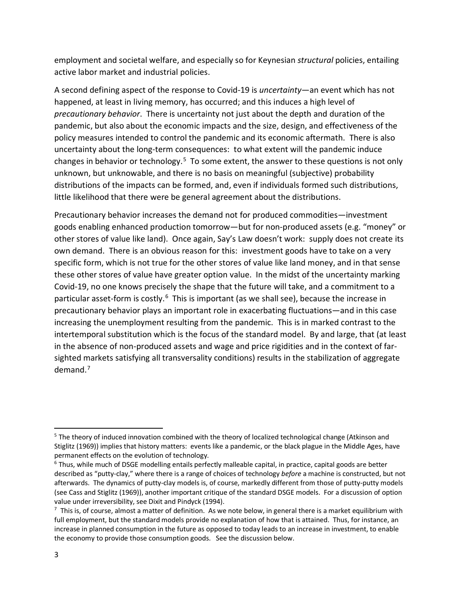employment and societal welfare, and especially so for Keynesian *structural* policies, entailing active labor market and industrial policies.

A second defining aspect of the response to Covid-19 is *uncertainty*—an event which has not happened, at least in living memory, has occurred; and this induces a high level of *precautionary behavior*. There is uncertainty not just about the depth and duration of the pandemic, but also about the economic impacts and the size, design, and effectiveness of the policy measures intended to control the pandemic and its economic aftermath. There is also uncertainty about the long-term consequences: to what extent will the pandemic induce changes in behavior or technology.<sup>5</sup> To some extent, the answer to these questions is not only unknown, but unknowable, and there is no basis on meaningful (subjective) probability distributions of the impacts can be formed, and, even if individuals formed such distributions, little likelihood that there were be general agreement about the distributions.

Precautionary behavior increases the demand not for produced commodities—investment goods enabling enhanced production tomorrow—but for non-produced assets (e.g. "money" or other stores of value like land). Once again, Say's Law doesn't work: supply does not create its own demand. There is an obvious reason for this: investment goods have to take on a very specific form, which is not true for the other stores of value like land money, and in that sense these other stores of value have greater option value. In the midst of the uncertainty marking Covid-19, no one knows precisely the shape that the future will take, and a commitment to a particular asset-form is costly.<sup>[6](#page-4-1)</sup> This is important (as we shall see), because the increase in precautionary behavior plays an important role in exacerbating fluctuations—and in this case increasing the unemployment resulting from the pandemic. This is in marked contrast to the intertemporal substitution which is the focus of the standard model. By and large, that (at least in the absence of non-produced assets and wage and price rigidities and in the context of farsighted markets satisfying all transversality conditions) results in the stabilization of aggregate demand.[7](#page-4-2)

<span id="page-4-0"></span><sup>&</sup>lt;sup>5</sup> The theory of induced innovation combined with the theory of localized technological change (Atkinson and Stiglitz (1969)) implies that history matters: events like a pandemic, or the black plague in the Middle Ages, have permanent effects on the evolution of technology.

<span id="page-4-1"></span><sup>&</sup>lt;sup>6</sup> Thus, while much of DSGE modelling entails perfectly malleable capital, in practice, capital goods are better described as "putty-clay," where there is a range of choices of technology *before* a machine is constructed, but not afterwards. The dynamics of putty-clay models is, of course, markedly different from those of putty-putty models (see Cass and Stiglitz (1969)), another important critique of the standard DSGE models. For a discussion of option value under irreversibility, see Dixit and Pindyck (1994).

<span id="page-4-2"></span> $^7$  This is, of course, almost a matter of definition. As we note below, in general there is a market equilibrium with full employment, but the standard models provide no explanation of how that is attained. Thus, for instance, an increase in planned consumption in the future as opposed to today leads to an increase in investment, to enable the economy to provide those consumption goods. See the discussion below.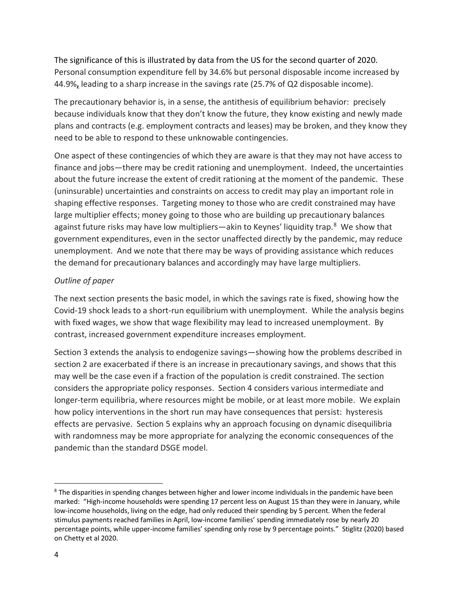The significance of this is illustrated by data from the US for the second quarter of 2020. Personal consumption expenditure fell by 34.6% but personal disposable income increased by 44.9%**,** leading to a sharp increase in the savings rate (25.7% of Q2 disposable income).

The precautionary behavior is, in a sense, the antithesis of equilibrium behavior: precisely because individuals know that they don't know the future, they know existing and newly made plans and contracts (e.g. employment contracts and leases) may be broken, and they know they need to be able to respond to these unknowable contingencies.

One aspect of these contingencies of which they are aware is that they may not have access to finance and jobs—there may be credit rationing and unemployment. Indeed, the uncertainties about the future increase the extent of credit rationing at the moment of the pandemic. These (uninsurable) uncertainties and constraints on access to credit may play an important role in shaping effective responses. Targeting money to those who are credit constrained may have large multiplier effects; money going to those who are building up precautionary balances against future risks may have low multipliers—akin to Keynes' liquidity trap.<sup>[8](#page-5-0)</sup> We show that government expenditures, even in the sector unaffected directly by the pandemic, may reduce unemployment. And we note that there may be ways of providing assistance which reduces the demand for precautionary balances and accordingly may have large multipliers.

### *Outline of paper*

The next section presents the basic model, in which the savings rate is fixed, showing how the Covid-19 shock leads to a short-run equilibrium with unemployment. While the analysis begins with fixed wages, we show that wage flexibility may lead to increased unemployment. By contrast, increased government expenditure increases employment.

Section 3 extends the analysis to endogenize savings—showing how the problems described in section 2 are exacerbated if there is an increase in precautionary savings, and shows that this may well be the case even if a fraction of the population is credit constrained. The section considers the appropriate policy responses. Section 4 considers various intermediate and longer-term equilibria, where resources might be mobile, or at least more mobile. We explain how policy interventions in the short run may have consequences that persist: hysteresis effects are pervasive. Section 5 explains why an approach focusing on dynamic disequilibria with randomness may be more appropriate for analyzing the economic consequences of the pandemic than the standard DSGE model.

<span id="page-5-0"></span><sup>&</sup>lt;sup>8</sup> The disparities in spending changes between higher and lower income individuals in the pandemic have been marked: "High-income households were spending 17 percent less on August 15 than they were in January, while low-income households, living on the edge, had only reduced their spending by 5 percent. When the federal stimulus payments reached families in April, low-income families' spending immediately rose by nearly 20 percentage points, while upper-income families' spending only rose by 9 percentage points." Stiglitz (2020) based on Chetty et al 2020.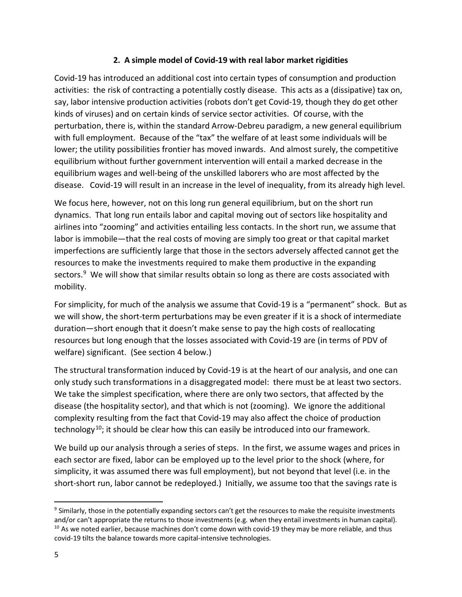### **2. A simple model of Covid-19 with real labor market rigidities**

Covid-19 has introduced an additional cost into certain types of consumption and production activities: the risk of contracting a potentially costly disease. This acts as a (dissipative) tax on, say, labor intensive production activities (robots don't get Covid-19, though they do get other kinds of viruses) and on certain kinds of service sector activities. Of course, with the perturbation, there is, within the standard Arrow-Debreu paradigm, a new general equilibrium with full employment. Because of the "tax" the welfare of at least some individuals will be lower; the utility possibilities frontier has moved inwards. And almost surely, the competitive equilibrium without further government intervention will entail a marked decrease in the equilibrium wages and well-being of the unskilled laborers who are most affected by the disease. Covid-19 will result in an increase in the level of inequality, from its already high level.

We focus here, however, not on this long run general equilibrium, but on the short run dynamics. That long run entails labor and capital moving out of sectors like hospitality and airlines into "zooming" and activities entailing less contacts. In the short run, we assume that labor is immobile—that the real costs of moving are simply too great or that capital market imperfections are sufficiently large that those in the sectors adversely affected cannot get the resources to make the investments required to make them productive in the expanding sectors.<sup>9</sup> We will show that similar results obtain so long as there are costs associated with mobility.

For simplicity, for much of the analysis we assume that Covid-19 is a "permanent" shock. But as we will show, the short-term perturbations may be even greater if it is a shock of intermediate duration—short enough that it doesn't make sense to pay the high costs of reallocating resources but long enough that the losses associated with Covid-19 are (in terms of PDV of welfare) significant. (See section 4 below.)

The structural transformation induced by Covid-19 is at the heart of our analysis, and one can only study such transformations in a disaggregated model: there must be at least two sectors. We take the simplest specification, where there are only two sectors, that affected by the disease (the hospitality sector), and that which is not (zooming). We ignore the additional complexity resulting from the fact that Covid-19 may also affect the choice of production technology<sup>10</sup>; it should be clear how this can easily be introduced into our framework.

We build up our analysis through a series of steps. In the first, we assume wages and prices in each sector are fixed, labor can be employed up to the level prior to the shock (where, for simplicity, it was assumed there was full employment), but not beyond that level (i.e. in the short-short run, labor cannot be redeployed.) Initially, we assume too that the savings rate is

<span id="page-6-1"></span><span id="page-6-0"></span><sup>&</sup>lt;sup>9</sup> Similarly, those in the potentially expanding sectors can't get the resources to make the requisite investments and/or can't appropriate the returns to those investments (e.g. when they entail investments in human capital).  $10$  As we noted earlier, because machines don't come down with covid-19 they may be more reliable, and thus covid-19 tilts the balance towards more capital-intensive technologies.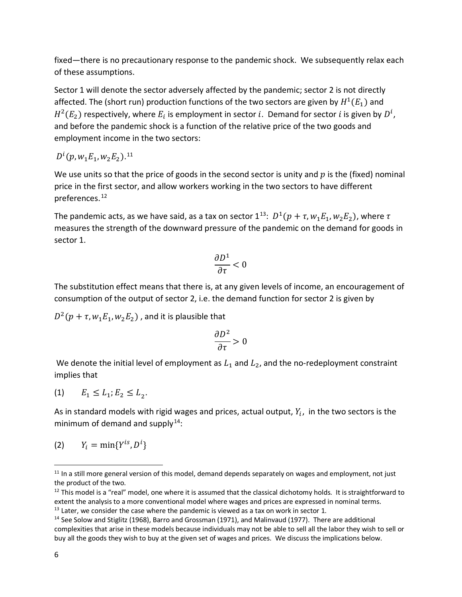fixed—there is no precautionary response to the pandemic shock. We subsequently relax each of these assumptions.

Sector 1 will denote the sector adversely affected by the pandemic; sector 2 is not directly affected. The (short run) production functions of the two sectors are given by  $H^1(E_1)$  and  $H^2(E_2)$  respectively, where  $E_i$  is employment in sector  $i$ . Demand for sector  $i$  is given by  $D^i$ , and before the pandemic shock is a function of the relative price of the two goods and employment income in the two sectors:

$$
D^i(p,w_1E_1,w_2E_2).^{\rm 11}
$$

We use units so that the price of goods in the second sector is unity and  $p$  is the (fixed) nominal price in the first sector, and allow workers working in the two sectors to have different preferences.[12](#page-7-1)

The pandemic acts, as we have said, as a tax on sector  $1^{13}$ :  $D^1(p + \tau, w_1E_1, w_2E_2)$ , where  $\tau$ measures the strength of the downward pressure of the pandemic on the demand for goods in sector 1.

$$
\frac{\partial D^1}{\partial \tau}<0
$$

The substitution effect means that there is, at any given levels of income, an encouragement of consumption of the output of sector 2, i.e. the demand function for sector 2 is given by

 $D^2(p + \tau, w_1 E_1, w_2 E_2)$ , and it is plausible that

$$
\frac{\partial D^2}{\partial \tau} > 0
$$

We denote the initial level of employment as  $L_1$  and  $L_2$ , and the no-redeployment constraint implies that

$$
(1) \qquad E_{1} \leq L_{1}; E_{2} \leq L_{2}.
$$

As in standard models with rigid wages and prices, actual output,  $Y_i$ , in the two sectors is the minimum of demand and supply $14$ :

$$
(2) \qquad Y_i=\min\{Y^{is},D^i\}
$$

<span id="page-7-0"></span> $11$  In a still more general version of this model, demand depends separately on wages and employment, not just the product of the two.

<span id="page-7-1"></span> $12$  This model is a "real" model, one where it is assumed that the classical dichotomy holds. It is straightforward to extent the analysis to a more conventional model where wages and prices are expressed in nominal terms.<br><sup>13</sup> Later, we consider the case where the pandemic is viewed as a tax on work in sector 1.<br><sup>14</sup> See Solow and Stiglit

<span id="page-7-2"></span>

<span id="page-7-3"></span>complexities that arise in these models because individuals may not be able to sell all the labor they wish to sell or buy all the goods they wish to buy at the given set of wages and prices. We discuss the implications below.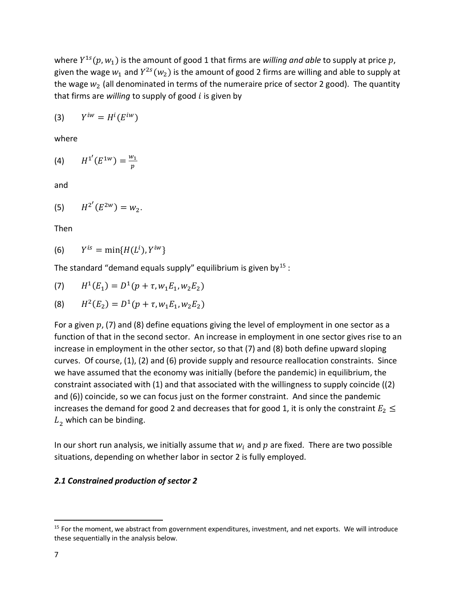where  $Y^{1s}(p, w_1)$  is the amount of good 1 that firms are *willing and able* to supply at price p, given the wage  $w_1$  and  $Y^{2s}(w_2)$  is the amount of good 2 firms are willing and able to supply at the wage  $w_2$  (all denominated in terms of the numeraire price of sector 2 good). The quantity that firms are *willing* to supply of good  $i$  is given by

$$
(3) \qquad Y^{iw}=H^i(E^{iw})
$$

where

(4) 
$$
H^{1'}(E^{1w}) = \frac{w_1}{p}
$$

and

(5) 
$$
H^{2'}(E^{2w}) = w_2.
$$

Then

$$
(6) \qquad Y^{is} = \min\{H(L^i), Y^{iw}\}
$$

The standard "demand equals supply" equilibrium is given by  $15$  :

(7) 
$$
H^1(E_1) = D^1(p + \tau, w_1 E_1, w_2 E_2)
$$

(8) 
$$
H^2(E_2) = D^1(p + \tau, w_1 E_1, w_2 E_2)
$$

For a given  $p$ , (7) and (8) define equations giving the level of employment in one sector as a function of that in the second sector. An increase in employment in one sector gives rise to an increase in employment in the other sector, so that (7) and (8) both define upward sloping curves. Of course, (1), (2) and (6) provide supply and resource reallocation constraints. Since we have assumed that the economy was initially (before the pandemic) in equilibrium, the constraint associated with (1) and that associated with the willingness to supply coincide ((2) and (6)) coincide, so we can focus just on the former constraint. And since the pandemic increases the demand for good 2 and decreases that for good 1, it is only the constraint  $E_2 \leq$  $L<sub>2</sub>$  which can be binding.

In our short run analysis, we initially assume that  $w_i$  and  $p$  are fixed. There are two possible situations, depending on whether labor in sector 2 is fully employed.

### *2.1 Constrained production of sector 2*

<span id="page-8-0"></span><sup>&</sup>lt;sup>15</sup> For the moment, we abstract from government expenditures, investment, and net exports. We will introduce these sequentially in the analysis below.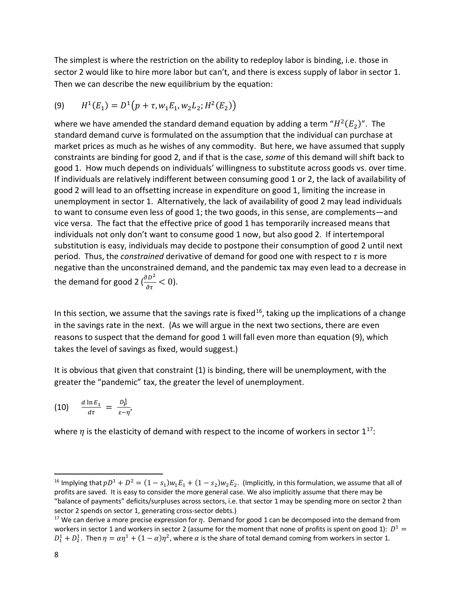The simplest is where the restriction on the ability to redeploy labor is binding, i.e. those in sector 2 would like to hire more labor but can't, and there is excess supply of labor in sector 1. Then we can describe the new equilibrium by the equation:

(9) 
$$
H^1(E_1) = D^1(p + \tau, w_1 E_1, w_2 L_2; H^2(E_2))
$$

where we have amended the standard demand equation by adding a term " $H^2(E_2)$ ". The standard demand curve is formulated on the assumption that the individual can purchase at market prices as much as he wishes of any commodity. But here, we have assumed that supply constraints are binding for good 2, and if that is the case, *some* of this demand will shift back to good 1. How much depends on individuals' willingness to substitute across goods vs. over time. If individuals are relatively indifferent between consuming good 1 or 2, the lack of availability of good 2 will lead to an offsetting increase in expenditure on good 1, limiting the increase in unemployment in sector 1. Alternatively, the lack of availability of good 2 may lead individuals to want to consume even less of good 1; the two goods, in this sense, are complements—and vice versa. The fact that the effective price of good 1 has temporarily increased means that individuals not only don't want to consume good 1 now, but also good 2. If intertemporal substitution is easy, individuals may decide to postpone their consumption of good 2 until next period. Thus, the *constrained* derivative of demand for good one with respect to  $\tau$  is more negative than the unconstrained demand, and the pandemic tax may even lead to a decrease in the demand for good 2 ( $\frac{\partial D^2}{\partial \tau}$  < 0).

In this section, we assume that the savings rate is fixed<sup>16</sup>, taking up the implications of a change in the savings rate in the next. (As we will argue in the next two sections, there are even reasons to suspect that the demand for good 1 will fall even more than equation (9), which takes the level of savings as fixed, would suggest.)

It is obvious that given that constraint (1) is binding, there will be unemployment, with the greater the "pandemic" tax, the greater the level of unemployment.

(10)  $\frac{d \ln E_1}{d\tau} = \frac{D_p^1}{\varepsilon - i}$  $\frac{P}{\varepsilon - \eta'}$ 

where  $\eta$  is the elasticity of demand with respect to the income of workers in sector  $1^{17}$  $1^{17}$  $1^{17}$ :

<span id="page-9-0"></span><sup>&</sup>lt;sup>16</sup> Implying that  $pD^1 + D^2 = (1 - s_1)w_1E_1 + (1 - s_2)w_2E_2$ . (Implicitly, in this formulation, we assume that all of profits are saved. It is easy to consider the more general case. We also implicitly assume that there may be "balance of payments" deficits/surpluses across sectors, i.e. that sector 1 may be spending more on sector 2 than sector 2 spends on sector 1, generating cross-sector debts.)<br><sup>17</sup> We can derive a more precise expression for  $\eta$ . Demand for good 1 can be decomposed into the demand from

<span id="page-9-1"></span>workers in sector 1 and workers in sector 2 (assume for the moment that none of profits is spent on good 1):  $D^1 =$  $D_1^1 + D_2^1$ . Then  $\eta = \alpha \eta^1 + (1 - \alpha)\eta^2$ , where  $\alpha$  is the share of total demand coming from workers in sector 1.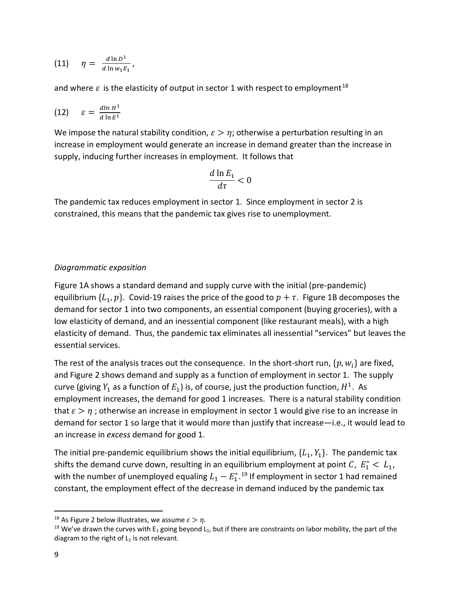$$
(11) \quad \eta = \frac{d \ln D^1}{d \ln w_1 E_1},
$$

and where  $\varepsilon$  is the elasticity of output in sector 1 with respect to employment<sup>[18](#page-10-0)</sup>

$$
(12) \qquad \varepsilon = \frac{d \ln H^1}{d \ln E^1}
$$

We impose the natural stability condition,  $\varepsilon > \eta$ ; otherwise a perturbation resulting in an increase in employment would generate an increase in demand greater than the increase in supply, inducing further increases in employment. It follows that

$$
\frac{d\ln E_1}{d\tau}<0
$$

The pandemic tax reduces employment in sector 1. Since employment in sector 2 is constrained, this means that the pandemic tax gives rise to unemployment.

### *Diagrammatic exposition*

Figure 1A shows a standard demand and supply curve with the initial (pre-pandemic) equilibrium  $\{L_1, p\}$ . Covid-19 raises the price of the good to  $p + \tau$ . Figure 1B decomposes the demand for sector 1 into two components, an essential component (buying groceries), with a low elasticity of demand, and an inessential component (like restaurant meals), with a high elasticity of demand. Thus, the pandemic tax eliminates all inessential "services" but leaves the essential services.

The rest of the analysis traces out the consequence. In the short-short run,  $\{p, w_i\}$  are fixed, and Figure 2 shows demand and supply as a function of employment in sector 1. The supply curve (giving  $Y_1$  as a function of  $E_1$ ) is, of course, just the production function,  $H^1$ . As employment increases, the demand for good 1 increases. There is a natural stability condition that  $\varepsilon > \eta$ ; otherwise an increase in employment in sector 1 would give rise to an increase in demand for sector 1 so large that it would more than justify that increase—i.e., it would lead to an increase in *excess* demand for good 1.

The initial pre-pandemic equilibrium shows the initial equilibrium,  $\{L_1, Y_1\}$ . The pandemic tax shifts the demand curve down, resulting in an equilibrium employment at point  $C$ ,  $E_1^* < L_1$ , with the number of unemployed equaling  $L_1 - E_1^{*,19}$  $L_1 - E_1^{*,19}$  $L_1 - E_1^{*,19}$  If employment in sector 1 had remained constant, the employment effect of the decrease in demand induced by the pandemic tax

<span id="page-10-1"></span><span id="page-10-0"></span><sup>&</sup>lt;sup>18</sup> As Figure 2 below illustrates, we assume  $\varepsilon > \eta$ .<br><sup>19</sup> We've drawn the curves with E<sub>1</sub> going beyond L<sub>1</sub>, but if there are constraints on labor mobility, the part of the diagram to the right of  $L_1$  is not relevant.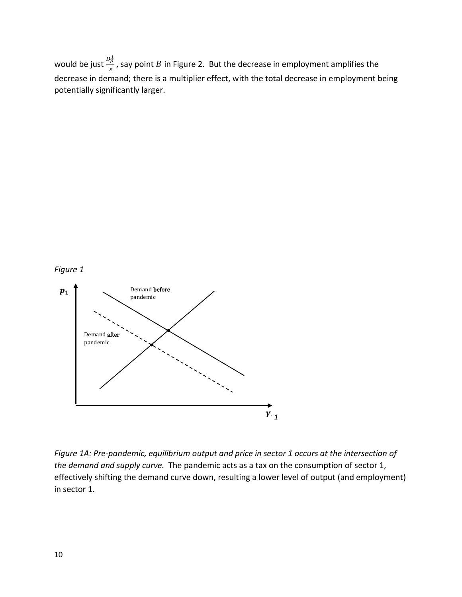would be just  $\frac{D_p^1}{\varepsilon}$ , say point  $B$  in Figure 2. But the decrease in employment amplifies the decrease in demand; there is a multiplier effect, with the total decrease in employment being potentially significantly larger.





*Figure 1A: Pre-pandemic, equilibrium output and price in sector 1 occurs at the intersection of the demand and supply curve.* The pandemic acts as a tax on the consumption of sector 1, effectively shifting the demand curve down, resulting a lower level of output (and employment) in sector 1.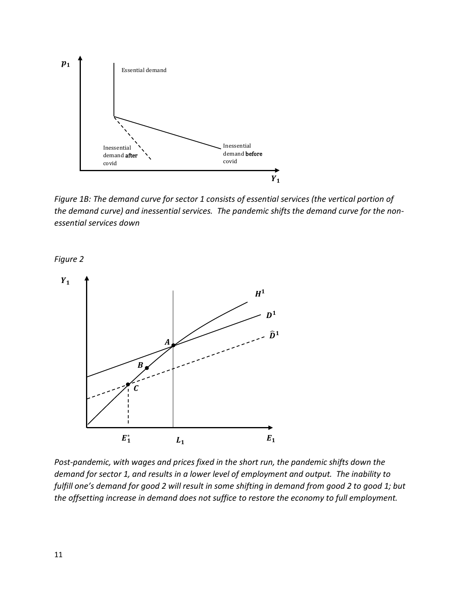

*Figure 1B: The demand curve for sector 1 consists of essential services (the vertical portion of the demand curve) and inessential services. The pandemic shifts the demand curve for the nonessential services down*

*Figure 2*



*Post-pandemic, with wages and prices fixed in the short run, the pandemic shifts down the demand for sector 1, and results in a lower level of employment and output. The inability to fulfill one's demand for good 2 will result in some shifting in demand from good 2 to good 1; but the offsetting increase in demand does not suffice to restore the economy to full employment.*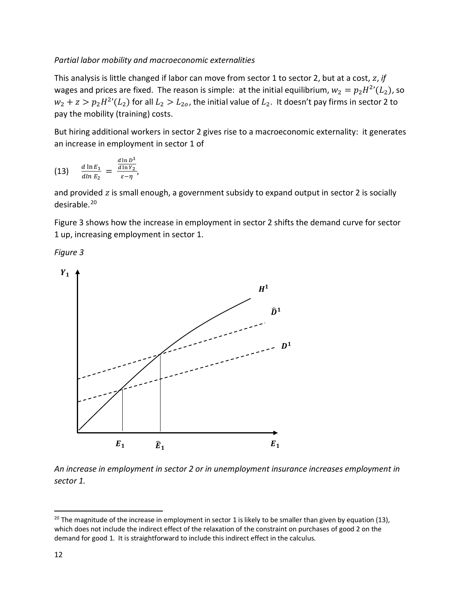### *Partial labor mobility and macroeconomic externalities*

This analysis is little changed if labor can move from sector 1 to sector 2, but at a cost, z, if wages and prices are fixed. The reason is simple: at the initial equilibrium,  $w_2 = p_2 H^{2'}(L_2)$ , so  $w_2 + z > p_2 H^{2'}(L_2)$  for all  $L_2 > L_{20}$ , the initial value of  $L_2$ . It doesn't pay firms in sector 2 to pay the mobility (training) costs.

But hiring additional workers in sector 2 gives rise to a macroeconomic externality: it generates an increase in employment in sector 1 of

(13) 
$$
\frac{d \ln E_1}{d \ln E_2} = \frac{\frac{d \ln D^1}{d \ln Y_2}}{\varepsilon - \eta},
$$

and provided z is small enough, a government subsidy to expand output in sector 2 is socially desirable.[20](#page-13-0)

Figure 3 shows how the increase in employment in sector 2 shifts the demand curve for sector 1 up, increasing employment in sector 1.

*Figure 3* 



*An increase in employment in sector 2 or in unemployment insurance increases employment in sector 1.*

<span id="page-13-0"></span> $20$  The magnitude of the increase in employment in sector 1 is likely to be smaller than given by equation (13), which does not include the indirect effect of the relaxation of the constraint on purchases of good 2 on the demand for good 1. It is straightforward to include this indirect effect in the calculus.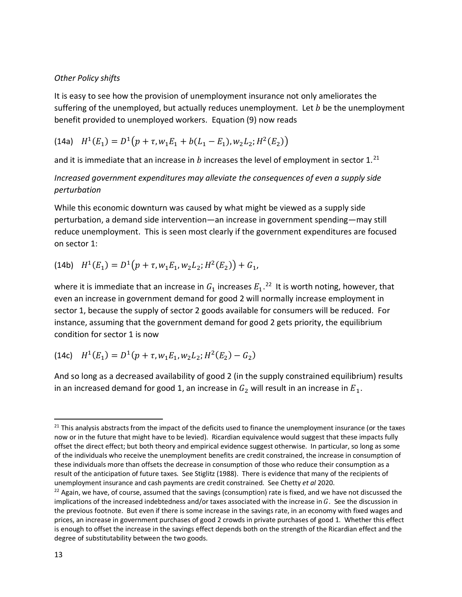### *Other Policy shifts*

It is easy to see how the provision of unemployment insurance not only ameliorates the suffering of the unemployed, but actually reduces unemployment. Let  $b$  be the unemployment benefit provided to unemployed workers. Equation (9) now reads

(14a)  $H^1(E_1) = D^1(p + \tau, w_1 E_1 + b(L_1 - E_1), w_2 L_2; H^2(E_2))$ 

and it is immediate that an increase in  $b$  increases the level of employment in sector 1.<sup>[21](#page-14-0)</sup>

*Increased government expenditures may alleviate the consequences of even a supply side perturbation*

While this economic downturn was caused by what might be viewed as a supply side perturbation, a demand side intervention—an increase in government spending—may still reduce unemployment. This is seen most clearly if the government expenditures are focused on sector 1:

(14b)  $H^1(E_1) = D^1(p + \tau, w_1 E_1, w_2 L_2; H^2(E_2)) + G_1$ 

where it is immediate that an increase in  $G_1$  increases  $E_1$ .<sup>[22](#page-14-1)</sup> It is worth noting, however, that even an increase in government demand for good 2 will normally increase employment in sector 1, because the supply of sector 2 goods available for consumers will be reduced. For instance, assuming that the government demand for good 2 gets priority, the equilibrium condition for sector 1 is now

(14c) 
$$
H^1(E_1) = D^1(p + \tau, w_1 E_1, w_2 L_2; H^2(E_2) - G_2)
$$

And so long as a decreased availability of good 2 (in the supply constrained equilibrium) results in an increased demand for good 1, an increase in  $G_2$  will result in an increase in  $E_1$ .

<span id="page-14-0"></span><sup>&</sup>lt;sup>21</sup> This analysis abstracts from the impact of the deficits used to finance the unemployment insurance (or the taxes now or in the future that might have to be levied). Ricardian equivalence would suggest that these impacts fully offset the direct effect; but both theory and empirical evidence suggest otherwise. In particular, so long as some of the individuals who receive the unemployment benefits are credit constrained, the increase in consumption of these individuals more than offsets the decrease in consumption of those who reduce their consumption as a result of the anticipation of future taxes. See Stiglitz (1988). There is evidence that many of the recipients of unemployment insurance and cash payments are credit constrained. See Chetty *et al* 2020.<br><sup>22</sup> Again, we have, of course, assumed that the savings (consumption) rate is fixed, and we have not discussed the

<span id="page-14-1"></span>implications of the increased indebtedness and/or taxes associated with the increase in  $G$ . See the discussion in the previous footnote. But even if there is some increase in the savings rate, in an economy with fixed wages and prices, an increase in government purchases of good 2 crowds in private purchases of good 1. Whether this effect is enough to offset the increase in the savings effect depends both on the strength of the Ricardian effect and the degree of substitutability between the two goods.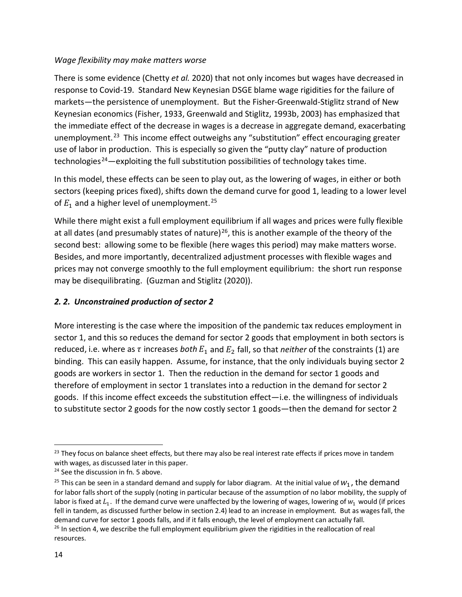### *Wage flexibility may make matters worse*

There is some evidence (Chetty *et al.* 2020) that not only incomes but wages have decreased in response to Covid-19. Standard New Keynesian DSGE blame wage rigidities for the failure of markets—the persistence of unemployment. But the Fisher-Greenwald-Stiglitz strand of New Keynesian economics (Fisher, 1933, Greenwald and Stiglitz, 1993b, 2003) has emphasized that the immediate effect of the decrease in wages is a decrease in aggregate demand, exacerbating unemployment.<sup>23</sup> This income effect outweighs any "substitution" effect encouraging greater use of labor in production. This is especially so given the "putty clay" nature of production technologies<sup>24</sup>—exploiting the full substitution possibilities of technology takes time.

In this model, these effects can be seen to play out, as the lowering of wages, in either or both sectors (keeping prices fixed), shifts down the demand curve for good 1, leading to a lower level of  $E_1$  and a higher level of unemployment.<sup>25</sup>

While there might exist a full employment equilibrium if all wages and prices were fully flexible at all dates (and presumably states of nature)<sup>26</sup>, this is another example of the theory of the second best: allowing some to be flexible (here wages this period) may make matters worse. Besides, and more importantly, decentralized adjustment processes with flexible wages and prices may not converge smoothly to the full employment equilibrium: the short run response may be disequilibrating. (Guzman and Stiglitz (2020)).

## *2. 2. Unconstrained production of sector 2*

More interesting is the case where the imposition of the pandemic tax reduces employment in sector 1, and this so reduces the demand for sector 2 goods that employment in both sectors is reduced, i.e. where as  $\tau$  increases *both*  $E_1$  and  $E_2$  fall, so that *neither* of the constraints (1) are binding. This can easily happen. Assume, for instance, that the only individuals buying sector 2 goods are workers in sector 1. Then the reduction in the demand for sector 1 goods and therefore of employment in sector 1 translates into a reduction in the demand for sector 2 goods. If this income effect exceeds the substitution effect—i.e. the willingness of individuals to substitute sector 2 goods for the now costly sector 1 goods—then the demand for sector 2

<span id="page-15-0"></span><sup>&</sup>lt;sup>23</sup> They focus on balance sheet effects, but there may also be real interest rate effects if prices move in tandem with wages, as discussed later in this paper.

<span id="page-15-1"></span><sup>&</sup>lt;sup>24</sup> See the discussion in fn. 5 above.

<span id="page-15-2"></span><sup>&</sup>lt;sup>25</sup> This can be seen in a standard demand and supply for labor diagram. At the initial value of  $W_1$ , the demand for labor falls short of the supply (noting in particular because of the assumption of no labor mobility, the supply of labor is fixed at  $L_1$ . If the demand curve were unaffected by the lowering of wages, lowering of  $w_1$  would (if prices fell in tandem, as discussed further below in section 2.4) lead to an increase in employment. But as wages fall, the demand curve for sector 1 goods falls, and if it falls enough, the level of employment can actually fall.<br><sup>26</sup> In section 4, we describe the full employment equilibrium *given* the rigidities in the reallocation of real

<span id="page-15-3"></span>resources.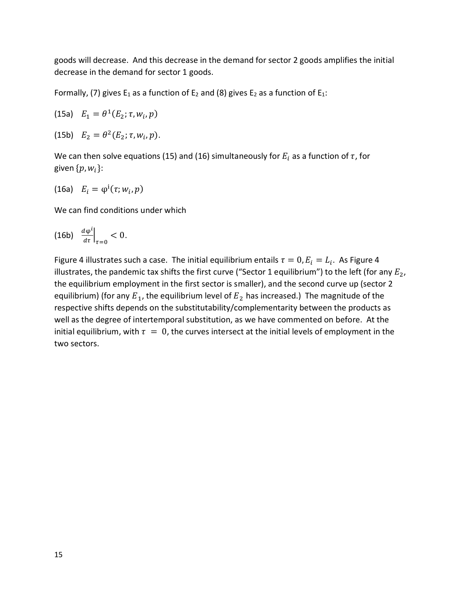goods will decrease. And this decrease in the demand for sector 2 goods amplifies the initial decrease in the demand for sector 1 goods.

Formally, (7) gives  $E_1$  as a function of  $E_2$  and (8) gives  $E_2$  as a function of  $E_1$ :

(15a) 
$$
E_1 = \theta^1(E_2; \tau, w_i, p)
$$

(15b)  $E_2 = \theta^2(E_2; \tau, w_i, p)$ .

We can then solve equations (15) and (16) simultaneously for  $E_i$  as a function of  $\tau$ , for given  $\{p, w_i\}$ :

$$
(16a) \quad E_i = \varphi^i(\tau; w_i, p)
$$

We can find conditions under which

$$
\text{(16b)} \quad \frac{d\varphi^i}{d\tau}\Big|_{\tau=0} < 0.
$$

Figure 4 illustrates such a case. The initial equilibrium entails  $\tau = 0$ ,  $E_i = L_i$ . As Figure 4 illustrates, the pandemic tax shifts the first curve ("Sector 1 equilibrium") to the left (for any  $E_2$ , the equilibrium employment in the first sector is smaller), and the second curve up (sector 2 equilibrium) (for any  $E_1$ , the equilibrium level of  $E_2$  has increased.) The magnitude of the respective shifts depends on the substitutability/complementarity between the products as well as the degree of intertemporal substitution, as we have commented on before. At the initial equilibrium, with  $\tau = 0$ , the curves intersect at the initial levels of employment in the two sectors.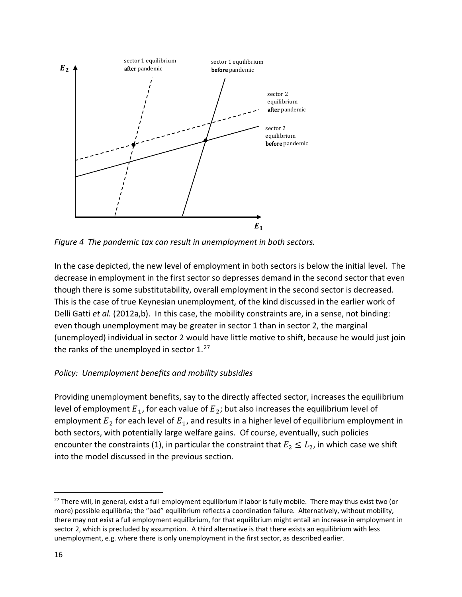

*Figure 4 The pandemic tax can result in unemployment in both sectors.*

In the case depicted, the new level of employment in both sectors is below the initial level. The decrease in employment in the first sector so depresses demand in the second sector that even though there is some substitutability, overall employment in the second sector is decreased. This is the case of true Keynesian unemployment, of the kind discussed in the earlier work of Delli Gatti *et al.* (2012a,b). In this case, the mobility constraints are, in a sense, not binding: even though unemployment may be greater in sector 1 than in sector 2, the marginal (unemployed) individual in sector 2 would have little motive to shift, because he would just join the ranks of the unemployed in sector  $1.^{27}$  $1.^{27}$  $1.^{27}$ 

# *Policy: Unemployment benefits and mobility subsidies*

Providing unemployment benefits, say to the directly affected sector, increases the equilibrium level of employment  $E_1$ , for each value of  $E_2$ ; but also increases the equilibrium level of employment  $E_2$  for each level of  $E_1$ , and results in a higher level of equilibrium employment in both sectors, with potentially large welfare gains. Of course, eventually, such policies encounter the constraints (1), in particular the constraint that  $E_2 \leq L_2$ , in which case we shift into the model discussed in the previous section.

<span id="page-17-0"></span><sup>&</sup>lt;sup>27</sup> There will, in general, exist a full employment equilibrium if labor is fully mobile. There may thus exist two (or more) possible equilibria; the "bad" equilibrium reflects a coordination failure. Alternatively, without mobility, there may not exist a full employment equilibrium, for that equilibrium might entail an increase in employment in sector 2, which is precluded by assumption. A third alternative is that there exists an equilibrium with less unemployment, e.g. where there is only unemployment in the first sector, as described earlier.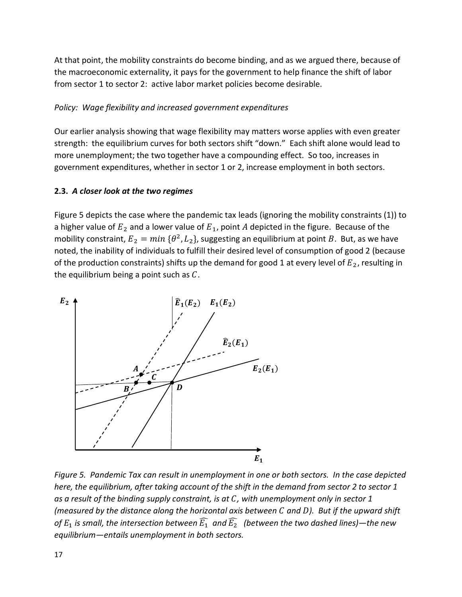At that point, the mobility constraints do become binding, and as we argued there, because of the macroeconomic externality, it pays for the government to help finance the shift of labor from sector 1 to sector 2: active labor market policies become desirable.

## *Policy: Wage flexibility and increased government expenditures*

Our earlier analysis showing that wage flexibility may matters worse applies with even greater strength: the equilibrium curves for both sectors shift "down." Each shift alone would lead to more unemployment; the two together have a compounding effect. So too, increases in government expenditures, whether in sector 1 or 2, increase employment in both sectors.

### **2.3.** *A closer look at the two regimes*

Figure 5 depicts the case where the pandemic tax leads (ignoring the mobility constraints (1)) to a higher value of  $E_2$  and a lower value of  $E_1$ , point A depicted in the figure. Because of the mobility constraint,  $E_2 = min \{\theta^2, L_2\}$ , suggesting an equilibrium at point B. But, as we have noted, the inability of individuals to fulfill their desired level of consumption of good 2 (because of the production constraints) shifts up the demand for good 1 at every level of  $E_2$ , resulting in the equilibrium being a point such as  $C$ .



*Figure 5. Pandemic Tax can result in unemployment in one or both sectors. In the case depicted here, the equilibrium, after taking account of the shift in the demand from sector 2 to sector 1 as a result of the binding supply constraint, is at , with unemployment only in sector 1 (measured by the distance along the horizontal axis between and ). But if the upward shift*  of  $E_1$  is small, the intersection between  $\widehat{E_1}$  and  $\widehat{E_2}$  (between the two dashed lines)—the new *equilibrium—entails unemployment in both sectors.*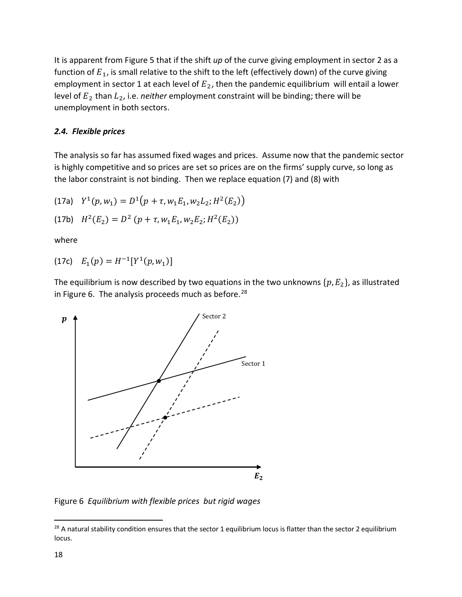It is apparent from Figure 5 that if the shift *up* of the curve giving employment in sector 2 as a function of  $E_1$ , is small relative to the shift to the left (effectively down) of the curve giving employment in sector 1 at each level of  $E_2$ , then the pandemic equilibrium will entail a lower level of  $E_2$  than  $L_2$ , i.e. *neither* employment constraint will be binding; there will be unemployment in both sectors.

### *2.4. Flexible prices*

The analysis so far has assumed fixed wages and prices. Assume now that the pandemic sector is highly competitive and so prices are set so prices are on the firms' supply curve, so long as the labor constraint is not binding. Then we replace equation (7) and (8) with

(17a) 
$$
Y^1(p, w_1) = D^1(p + \tau, w_1 E_1, w_2 L_2; H^2(E_2))
$$

(17b) 
$$
H^2(E_2) = D^2 (p + \tau, w_1 E_1, w_2 E_2; H^2(E_2))
$$

where

(17c) 
$$
E_1(p) = H^{-1}[Y^1(p, w_1)]
$$

The equilibrium is now described by two equations in the two unknowns  $\{p, E_2\}$ , as illustrated in Figure 6. The analysis proceeds much as before.<sup>[28](#page-19-0)</sup>



Figure 6 *Equilibrium with flexible prices but rigid wages*

<span id="page-19-0"></span> $28$  A natural stability condition ensures that the sector 1 equilibrium locus is flatter than the sector 2 equilibrium locus.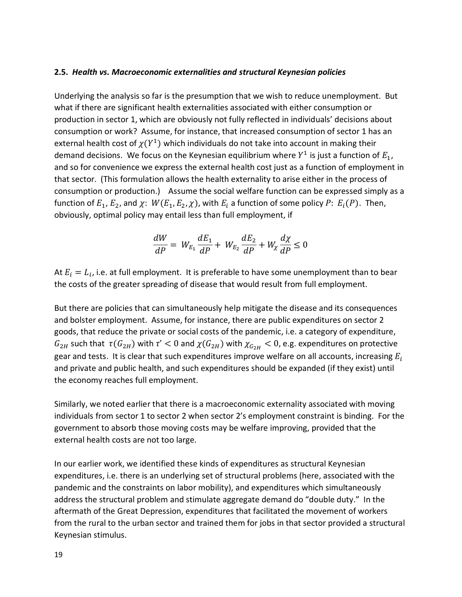#### **2.5.** *Health vs. Macroeconomic externalities and structural Keynesian policies*

Underlying the analysis so far is the presumption that we wish to reduce unemployment. But what if there are significant health externalities associated with either consumption or production in sector 1, which are obviously not fully reflected in individuals' decisions about consumption or work? Assume, for instance, that increased consumption of sector 1 has an external health cost of  $\chi(Y^1)$  which individuals do not take into account in making their demand decisions. We focus on the Keynesian equilibrium where  $Y^1$  is just a function of  $E_1$ , and so for convenience we express the external health cost just as a function of employment in that sector. (This formulation allows the health externality to arise either in the process of consumption or production.) Assume the social welfare function can be expressed simply as a function of  $E_1$ ,  $E_2$ , and  $\chi$ :  $W(E_1, E_2, \chi)$ , with  $E_i$  a function of some policy P:  $E_i(P)$ . Then, obviously, optimal policy may entail less than full employment, if

$$
\frac{dW}{dP} = W_{E_1}\frac{dE_1}{dP} + W_{E_2}\frac{dE_2}{dP} + W_{\chi}\frac{d\chi}{dP} \le 0
$$

At  $E_i = L_i$ , i.e. at full employment. It is preferable to have some unemployment than to bear the costs of the greater spreading of disease that would result from full employment.

But there are policies that can simultaneously help mitigate the disease and its consequences and bolster employment. Assume, for instance, there are public expenditures on sector 2 goods, that reduce the private or social costs of the pandemic, i.e. a category of expenditure,  $G_{2H}$  such that  $\tau(G_{2H})$  with  $\tau' < 0$  and  $\chi(G_{2H})$  with  $\chi_{G_{2H}} < 0$ , e.g. expenditures on protective gear and tests. It is clear that such expenditures improve welfare on all accounts, increasing  $E_i$ and private and public health, and such expenditures should be expanded (if they exist) until the economy reaches full employment.

Similarly, we noted earlier that there is a macroeconomic externality associated with moving individuals from sector 1 to sector 2 when sector 2's employment constraint is binding. For the government to absorb those moving costs may be welfare improving, provided that the external health costs are not too large.

In our earlier work, we identified these kinds of expenditures as structural Keynesian expenditures, i.e. there is an underlying set of structural problems (here, associated with the pandemic and the constraints on labor mobility), and expenditures which simultaneously address the structural problem and stimulate aggregate demand do "double duty." In the aftermath of the Great Depression, expenditures that facilitated the movement of workers from the rural to the urban sector and trained them for jobs in that sector provided a structural Keynesian stimulus.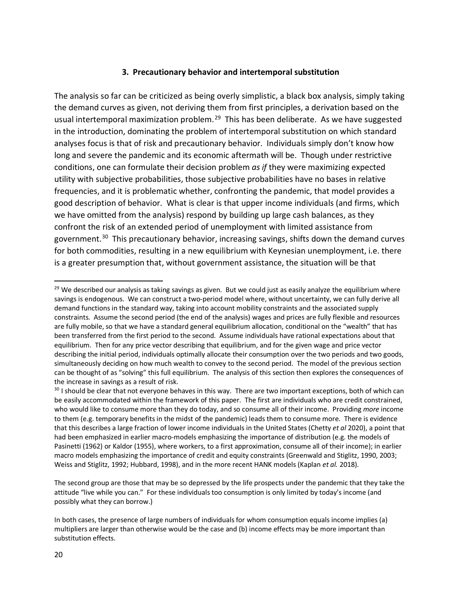### **3. Precautionary behavior and intertemporal substitution**

The analysis so far can be criticized as being overly simplistic, a black box analysis, simply taking the demand curves as given, not deriving them from first principles, a derivation based on the usual intertemporal maximization problem.<sup>29</sup> This has been deliberate. As we have suggested in the introduction, dominating the problem of intertemporal substitution on which standard analyses focus is that of risk and precautionary behavior. Individuals simply don't know how long and severe the pandemic and its economic aftermath will be. Though under restrictive conditions, one can formulate their decision problem *as if* they were maximizing expected utility with subjective probabilities, those subjective probabilities have no bases in relative frequencies, and it is problematic whether, confronting the pandemic, that model provides a good description of behavior. What is clear is that upper income individuals (and firms, which we have omitted from the analysis) respond by building up large cash balances, as they confront the risk of an extended period of unemployment with limited assistance from government.<sup>30</sup> This precautionary behavior, increasing savings, shifts down the demand curves for both commodities, resulting in a new equilibrium with Keynesian unemployment, i.e. there is a greater presumption that, without government assistance, the situation will be that

<span id="page-21-0"></span><sup>&</sup>lt;sup>29</sup> We described our analysis as taking savings as given. But we could just as easily analyze the equilibrium where savings is endogenous. We can construct a two-period model where, without uncertainty, we can fully derive all demand functions in the standard way, taking into account mobility constraints and the associated supply constraints. Assume the second period (the end of the analysis) wages and prices are fully flexible and resources are fully mobile, so that we have a standard general equilibrium allocation, conditional on the "wealth" that has been transferred from the first period to the second. Assume individuals have rational expectations about that equilibrium. Then for any price vector describing that equilibrium, and for the given wage and price vector describing the initial period, individuals optimally allocate their consumption over the two periods and two goods, simultaneously deciding on how much wealth to convey to the second period. The model of the previous section can be thought of as "solving" this full equilibrium. The analysis of this section then explores the consequences of the increase in savings as a result of risk.

<span id="page-21-1"></span><sup>&</sup>lt;sup>30</sup> I should be clear that not everyone behaves in this way. There are two important exceptions, both of which can be easily accommodated within the framework of this paper. The first are individuals who are credit constrained, who would like to consume more than they do today, and so consume all of their income. Providing *more* income to them (e.g. temporary benefits in the midst of the pandemic) leads them to consume more. There is evidence that this describes a large fraction of lower income individuals in the United States (Chetty *et al* 2020), a point that had been emphasized in earlier macro-models emphasizing the importance of distribution (e.g. the models of Pasinetti (1962) or Kaldor (1955), where workers, to a first approximation, consume all of their income); in earlier macro models emphasizing the importance of credit and equity constraints (Greenwald and Stiglitz, 1990, 2003; Weiss and Stiglitz, 1992; Hubbard, 1998), and in the more recent HANK models (Kaplan *et al.* 2018).

The second group are those that may be so depressed by the life prospects under the pandemic that they take the attitude "live while you can." For these individuals too consumption is only limited by today's income (and possibly what they can borrow.)

In both cases, the presence of large numbers of individuals for whom consumption equals income implies (a) multipliers are larger than otherwise would be the case and (b) income effects may be more important than substitution effects.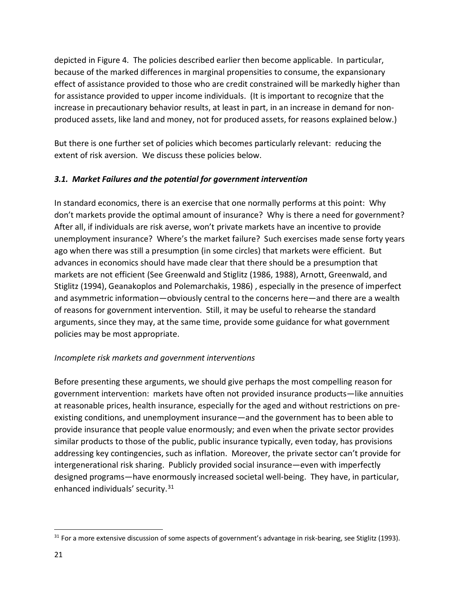depicted in Figure 4. The policies described earlier then become applicable. In particular, because of the marked differences in marginal propensities to consume, the expansionary effect of assistance provided to those who are credit constrained will be markedly higher than for assistance provided to upper income individuals. (It is important to recognize that the increase in precautionary behavior results, at least in part, in an increase in demand for nonproduced assets, like land and money, not for produced assets, for reasons explained below.)

But there is one further set of policies which becomes particularly relevant: reducing the extent of risk aversion. We discuss these policies below.

# *3.1. Market Failures and the potential for government intervention*

In standard economics, there is an exercise that one normally performs at this point: Why don't markets provide the optimal amount of insurance? Why is there a need for government? After all, if individuals are risk averse, won't private markets have an incentive to provide unemployment insurance? Where's the market failure? Such exercises made sense forty years ago when there was still a presumption (in some circles) that markets were efficient. But advances in economics should have made clear that there should be a presumption that markets are not efficient (See Greenwald and Stiglitz (1986, 1988), Arnott, Greenwald, and Stiglitz (1994), Geanakoplos and Polemarchakis, 1986) , especially in the presence of imperfect and asymmetric information—obviously central to the concerns here—and there are a wealth of reasons for government intervention. Still, it may be useful to rehearse the standard arguments, since they may, at the same time, provide some guidance for what government policies may be most appropriate.

### *Incomplete risk markets and government interventions*

Before presenting these arguments, we should give perhaps the most compelling reason for government intervention: markets have often not provided insurance products—like annuities at reasonable prices, health insurance, especially for the aged and without restrictions on preexisting conditions, and unemployment insurance—and the government has to been able to provide insurance that people value enormously; and even when the private sector provides similar products to those of the public, public insurance typically, even today, has provisions addressing key contingencies, such as inflation. Moreover, the private sector can't provide for intergenerational risk sharing. Publicly provided social insurance—even with imperfectly designed programs—have enormously increased societal well-being. They have, in particular, enhanced individuals' security.<sup>[31](#page-22-0)</sup>

<span id="page-22-0"></span> $31$  For a more extensive discussion of some aspects of government's advantage in risk-bearing, see Stiglitz (1993).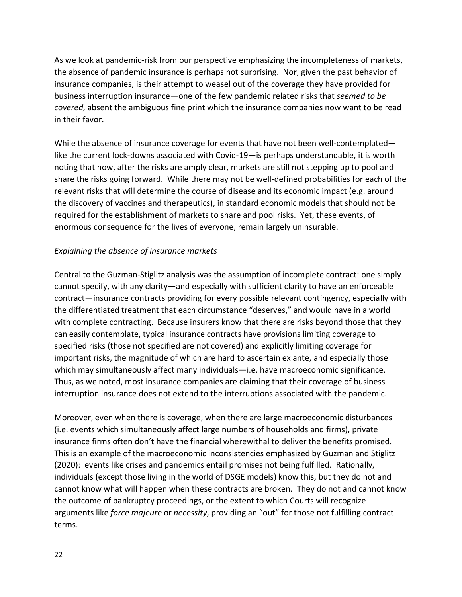As we look at pandemic-risk from our perspective emphasizing the incompleteness of markets, the absence of pandemic insurance is perhaps not surprising. Nor, given the past behavior of insurance companies, is their attempt to weasel out of the coverage they have provided for business interruption insurance—one of the few pandemic related risks that *seemed to be covered,* absent the ambiguous fine print which the insurance companies now want to be read in their favor.

While the absence of insurance coverage for events that have not been well-contemplated like the current lock-downs associated with Covid-19—is perhaps understandable, it is worth noting that now, after the risks are amply clear, markets are still not stepping up to pool and share the risks going forward. While there may not be well-defined probabilities for each of the relevant risks that will determine the course of disease and its economic impact (e.g. around the discovery of vaccines and therapeutics), in standard economic models that should not be required for the establishment of markets to share and pool risks. Yet, these events, of enormous consequence for the lives of everyone, remain largely uninsurable.

# *Explaining the absence of insurance markets*

Central to the Guzman-Stiglitz analysis was the assumption of incomplete contract: one simply cannot specify, with any clarity—and especially with sufficient clarity to have an enforceable contract—insurance contracts providing for every possible relevant contingency, especially with the differentiated treatment that each circumstance "deserves," and would have in a world with complete contracting. Because insurers know that there are risks beyond those that they can easily contemplate, typical insurance contracts have provisions limiting coverage to specified risks (those not specified are not covered) and explicitly limiting coverage for important risks, the magnitude of which are hard to ascertain ex ante, and especially those which may simultaneously affect many individuals—i.e. have macroeconomic significance. Thus, as we noted, most insurance companies are claiming that their coverage of business interruption insurance does not extend to the interruptions associated with the pandemic.

Moreover, even when there is coverage, when there are large macroeconomic disturbances (i.e. events which simultaneously affect large numbers of households and firms), private insurance firms often don't have the financial wherewithal to deliver the benefits promised. This is an example of the macroeconomic inconsistencies emphasized by Guzman and Stiglitz (2020): events like crises and pandemics entail promises not being fulfilled. Rationally, individuals (except those living in the world of DSGE models) know this, but they do not and cannot know what will happen when these contracts are broken. They do not and cannot know the outcome of bankruptcy proceedings, or the extent to which Courts will recognize arguments like *force majeure* or *necessity*, providing an "out" for those not fulfilling contract terms.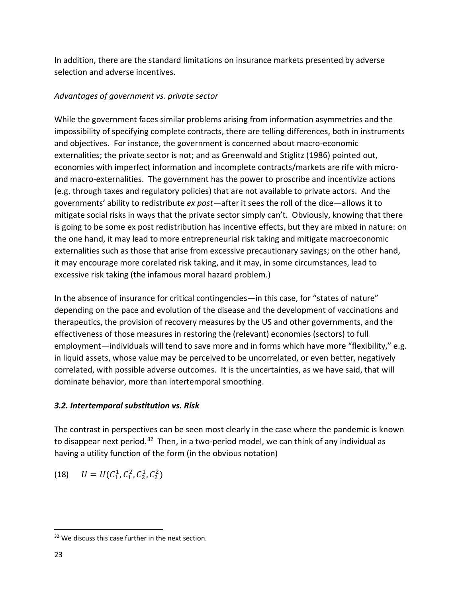In addition, there are the standard limitations on insurance markets presented by adverse selection and adverse incentives.

# *Advantages of government vs. private sector*

While the government faces similar problems arising from information asymmetries and the impossibility of specifying complete contracts, there are telling differences, both in instruments and objectives. For instance, the government is concerned about macro-economic externalities; the private sector is not; and as Greenwald and Stiglitz (1986) pointed out, economies with imperfect information and incomplete contracts/markets are rife with microand macro-externalities. The government has the power to proscribe and incentivize actions (e.g. through taxes and regulatory policies) that are not available to private actors. And the governments' ability to redistribute *ex post*—after it sees the roll of the dice—allows it to mitigate social risks in ways that the private sector simply can't. Obviously, knowing that there is going to be some ex post redistribution has incentive effects, but they are mixed in nature: on the one hand, it may lead to more entrepreneurial risk taking and mitigate macroeconomic externalities such as those that arise from excessive precautionary savings; on the other hand, it may encourage more corelated risk taking, and it may, in some circumstances, lead to excessive risk taking (the infamous moral hazard problem.)

In the absence of insurance for critical contingencies—in this case, for "states of nature" depending on the pace and evolution of the disease and the development of vaccinations and therapeutics, the provision of recovery measures by the US and other governments, and the effectiveness of those measures in restoring the (relevant) economies (sectors) to full employment—individuals will tend to save more and in forms which have more "flexibility," e.g. in liquid assets, whose value may be perceived to be uncorrelated, or even better, negatively correlated, with possible adverse outcomes. It is the uncertainties, as we have said, that will dominate behavior, more than intertemporal smoothing.

# *3.2. Intertemporal substitution vs. Risk*

The contrast in perspectives can be seen most clearly in the case where the pandemic is known to disappear next period.<sup>32</sup> Then, in a two-period model, we can think of any individual as having a utility function of the form (in the obvious notation)

(18) 
$$
U = U(C_1^1, C_1^2, C_2^1, C_2^2)
$$

<span id="page-24-0"></span><sup>&</sup>lt;sup>32</sup> We discuss this case further in the next section.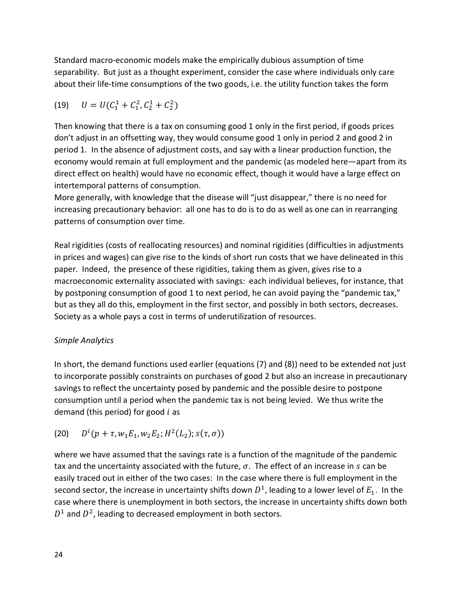Standard macro-economic models make the empirically dubious assumption of time separability. But just as a thought experiment, consider the case where individuals only care about their life-time consumptions of the two goods, i.e. the utility function takes the form

(19) 
$$
U = U(C_1^1 + C_1^2, C_2^1 + C_2^2)
$$

Then knowing that there is a tax on consuming good 1 only in the first period, if goods prices don't adjust in an offsetting way, they would consume good 1 only in period 2 and good 2 in period 1. In the absence of adjustment costs, and say with a linear production function, the economy would remain at full employment and the pandemic (as modeled here—apart from its direct effect on health) would have no economic effect, though it would have a large effect on intertemporal patterns of consumption.

More generally, with knowledge that the disease will "just disappear," there is no need for increasing precautionary behavior: all one has to do is to do as well as one can in rearranging patterns of consumption over time.

Real rigidities (costs of reallocating resources) and nominal rigidities (difficulties in adjustments in prices and wages) can give rise to the kinds of short run costs that we have delineated in this paper. Indeed, the presence of these rigidities, taking them as given, gives rise to a macroeconomic externality associated with savings: each individual believes, for instance, that by postponing consumption of good 1 to next period, he can avoid paying the "pandemic tax," but as they all do this, employment in the first sector, and possibly in both sectors, decreases. Society as a whole pays a cost in terms of underutilization of resources.

### *Simple Analytics*

In short, the demand functions used earlier (equations (7) and (8)) need to be extended not just to incorporate possibly constraints on purchases of good 2 but also an increase in precautionary savings to reflect the uncertainty posed by pandemic and the possible desire to postpone consumption until a period when the pandemic tax is not being levied. We thus write the demand (this period) for good  $i$  as

(20) 
$$
D^{i}(p+\tau, w_1E_1, w_2E_2; H^2(L_2); s(\tau, \sigma))
$$

where we have assumed that the savings rate is a function of the magnitude of the pandemic tax and the uncertainty associated with the future,  $\sigma$ . The effect of an increase in s can be easily traced out in either of the two cases: In the case where there is full employment in the second sector, the increase in uncertainty shifts down  $D^1$ , leading to a lower level of  $E_1$ . In the case where there is unemployment in both sectors, the increase in uncertainty shifts down both  $D<sup>1</sup>$  and  $D<sup>2</sup>$ , leading to decreased employment in both sectors.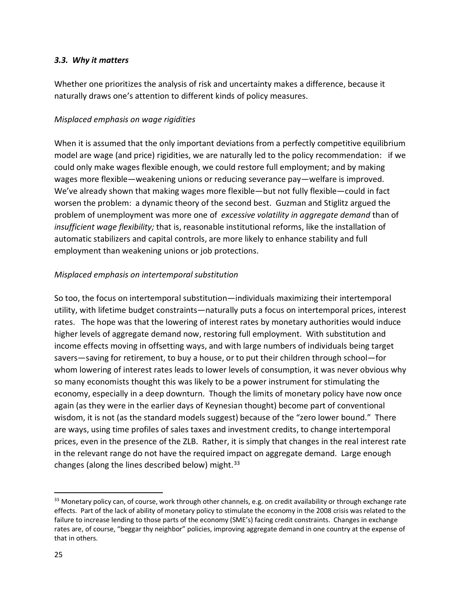### *3.3. Why it matters*

Whether one prioritizes the analysis of risk and uncertainty makes a difference, because it naturally draws one's attention to different kinds of policy measures.

### *Misplaced emphasis on wage rigidities*

When it is assumed that the only important deviations from a perfectly competitive equilibrium model are wage (and price) rigidities, we are naturally led to the policy recommendation: if we could only make wages flexible enough, we could restore full employment; and by making wages more flexible—weakening unions or reducing severance pay—welfare is improved. We've already shown that making wages more flexible—but not fully flexible—could in fact worsen the problem: a dynamic theory of the second best. Guzman and Stiglitz argued the problem of unemployment was more one of *excessive volatility in aggregate demand* than of *insufficient wage flexibility;* that is, reasonable institutional reforms, like the installation of automatic stabilizers and capital controls, are more likely to enhance stability and full employment than weakening unions or job protections.

### *Misplaced emphasis on intertemporal substitution*

So too, the focus on intertemporal substitution—individuals maximizing their intertemporal utility, with lifetime budget constraints—naturally puts a focus on intertemporal prices, interest rates. The hope was that the lowering of interest rates by monetary authorities would induce higher levels of aggregate demand now, restoring full employment. With substitution and income effects moving in offsetting ways, and with large numbers of individuals being target savers—saving for retirement, to buy a house, or to put their children through school—for whom lowering of interest rates leads to lower levels of consumption, it was never obvious why so many economists thought this was likely to be a power instrument for stimulating the economy, especially in a deep downturn. Though the limits of monetary policy have now once again (as they were in the earlier days of Keynesian thought) become part of conventional wisdom, it is not (as the standard models suggest) because of the "zero lower bound." There are ways, using time profiles of sales taxes and investment credits, to change intertemporal prices, even in the presence of the ZLB. Rather, it is simply that changes in the real interest rate in the relevant range do not have the required impact on aggregate demand. Large enough changes (along the lines described below) might.  $33$ 

<span id="page-26-0"></span><sup>33</sup> Monetary policy can, of course, work through other channels, e.g. on credit availability or through exchange rate effects. Part of the lack of ability of monetary policy to stimulate the economy in the 2008 crisis was related to the failure to increase lending to those parts of the economy (SME's) facing credit constraints. Changes in exchange rates are, of course, "beggar thy neighbor" policies, improving aggregate demand in one country at the expense of that in others.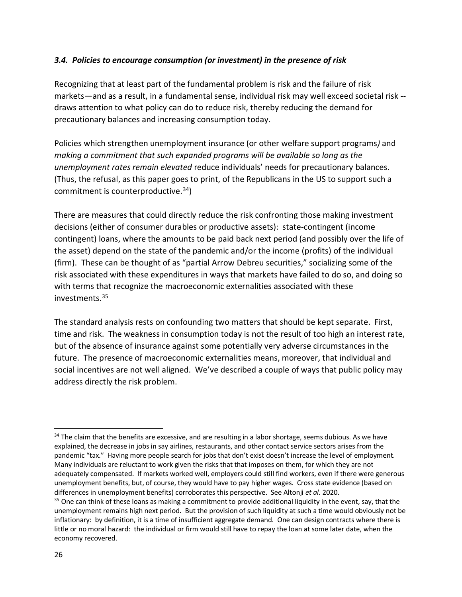### *3.4. Policies to encourage consumption (or investment) in the presence of risk*

Recognizing that at least part of the fundamental problem is risk and the failure of risk markets—and as a result, in a fundamental sense, individual risk may well exceed societal risk - draws attention to what policy can do to reduce risk, thereby reducing the demand for precautionary balances and increasing consumption today.

Policies which strengthen unemployment insurance (or other welfare support programs*)* and *making a commitment that such expanded programs will be available so long as the unemployment rates remain elevated* reduce individuals' needs for precautionary balances. (Thus, the refusal, as this paper goes to print, of the Republicans in the US to support such a commitment is counterproductive. $34$ )

There are measures that could directly reduce the risk confronting those making investment decisions (either of consumer durables or productive assets): state-contingent (income contingent) loans, where the amounts to be paid back next period (and possibly over the life of the asset) depend on the state of the pandemic and/or the income (profits) of the individual (firm). These can be thought of as "partial Arrow Debreu securities," socializing some of the risk associated with these expenditures in ways that markets have failed to do so, and doing so with terms that recognize the macroeconomic externalities associated with these investments.[35](#page-27-1) 

The standard analysis rests on confounding two matters that should be kept separate. First, time and risk. The weakness in consumption today is not the result of too high an interest rate, but of the absence of insurance against some potentially very adverse circumstances in the future. The presence of macroeconomic externalities means, moreover, that individual and social incentives are not well aligned. We've described a couple of ways that public policy may address directly the risk problem.

<span id="page-27-0"></span><sup>&</sup>lt;sup>34</sup> The claim that the benefits are excessive, and are resulting in a labor shortage, seems dubious. As we have explained, the decrease in jobs in say airlines, restaurants, and other contact service sectors arises from the pandemic "tax." Having more people search for jobs that don't exist doesn't increase the level of employment. Many individuals are reluctant to work given the risks that that imposes on them, for which they are not adequately compensated. If markets worked well, employers could still find workers, even if there were generous unemployment benefits, but, of course, they would have to pay higher wages. Cross state evidence (based on differences in unemployment benefits) corroborates this perspective. See Altonji *et al.* 2020.

<span id="page-27-1"></span> $35$  One can think of these loans as making a commitment to provide additional liquidity in the event, say, that the unemployment remains high next period. But the provision of such liquidity at such a time would obviously not be inflationary: by definition, it is a time of insufficient aggregate demand. One can design contracts where there is little or no moral hazard: the individual or firm would still have to repay the loan at some later date, when the economy recovered.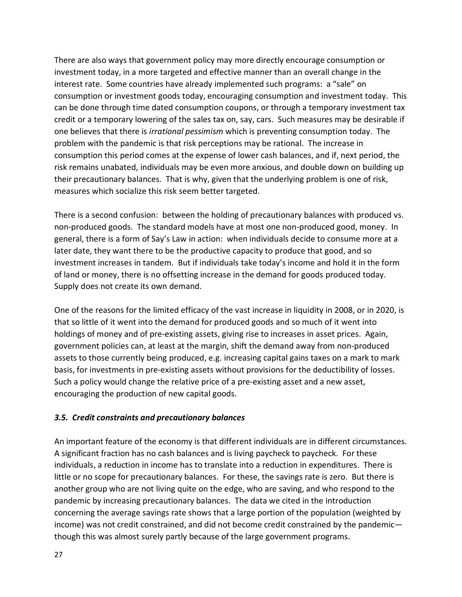There are also ways that government policy may more directly encourage consumption or investment today, in a more targeted and effective manner than an overall change in the interest rate. Some countries have already implemented such programs: a "sale" on consumption or investment goods today, encouraging consumption and investment today. This can be done through time dated consumption coupons, or through a temporary investment tax credit or a temporary lowering of the sales tax on, say, cars. Such measures may be desirable if one believes that there is *irrational pessimism* which is preventing consumption today. The problem with the pandemic is that risk perceptions may be rational. The increase in consumption this period comes at the expense of lower cash balances, and if, next period, the risk remains unabated, individuals may be even more anxious, and double down on building up their precautionary balances. That is why, given that the underlying problem is one of risk, measures which socialize this risk seem better targeted.

There is a second confusion: between the holding of precautionary balances with produced vs. non-produced goods. The standard models have at most one non-produced good, money. In general, there is a form of Say's Law in action: when individuals decide to consume more at a later date, they want there to be the productive capacity to produce that good, and so investment increases in tandem. But if individuals take today's income and hold it in the form of land or money, there is no offsetting increase in the demand for goods produced today. Supply does not create its own demand.

One of the reasons for the limited efficacy of the vast increase in liquidity in 2008, or in 2020, is that so little of it went into the demand for produced goods and so much of it went into holdings of money and of pre-existing assets, giving rise to increases in asset prices. Again, government policies can, at least at the margin, shift the demand away from non-produced assets to those currently being produced, e.g. increasing capital gains taxes on a mark to mark basis, for investments in pre-existing assets without provisions for the deductibility of losses. Such a policy would change the relative price of a pre-existing asset and a new asset, encouraging the production of new capital goods.

### *3.5. Credit constraints and precautionary balances*

An important feature of the economy is that different individuals are in different circumstances. A significant fraction has no cash balances and is living paycheck to paycheck. For these individuals, a reduction in income has to translate into a reduction in expenditures. There is little or no scope for precautionary balances. For these, the savings rate is zero. But there is another group who are not living quite on the edge, who are saving, and who respond to the pandemic by increasing precautionary balances. The data we cited in the introduction concerning the average savings rate shows that a large portion of the population (weighted by income) was not credit constrained, and did not become credit constrained by the pandemic though this was almost surely partly because of the large government programs.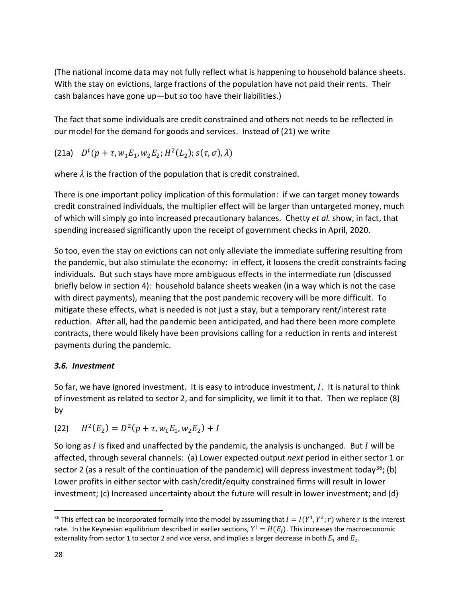(The national income data may not fully reflect what is happening to household balance sheets. With the stay on evictions, large fractions of the population have not paid their rents. Their cash balances have gone up—but so too have their liabilities.)

The fact that some individuals are credit constrained and others not needs to be reflected in our model for the demand for goods and services. Instead of (21) we write

(21a)  $D^{i}(p + \tau, w_1 E_1, w_2 E_2; H^2(L_2); s(\tau, \sigma), \lambda)$ 

where  $\lambda$  is the fraction of the population that is credit constrained.

There is one important policy implication of this formulation: if we can target money towards credit constrained individuals, the multiplier effect will be larger than untargeted money, much of which will simply go into increased precautionary balances. Chetty *et al.* show, in fact, that spending increased significantly upon the receipt of government checks in April, 2020.

So too, even the stay on evictions can not only alleviate the immediate suffering resulting from the pandemic, but also stimulate the economy: in effect, it loosens the credit constraints facing individuals. But such stays have more ambiguous effects in the intermediate run (discussed briefly below in section 4): household balance sheets weaken (in a way which is not the case with direct payments), meaning that the post pandemic recovery will be more difficult. To mitigate these effects, what is needed is not just a stay, but a temporary rent/interest rate reduction. After all, had the pandemic been anticipated, and had there been more complete contracts, there would likely have been provisions calling for a reduction in rents and interest payments during the pandemic.

### *3.6. Investment*

So far, we have ignored investment. It is easy to introduce investment,  $I$ . It is natural to think of investment as related to sector 2, and for simplicity, we limit it to that. Then we replace (8) by

(22) 
$$
H^2(E_2) = D^2(p + \tau, w_1 E_1, w_2 E_2) + I
$$

So long as  $I$  is fixed and unaffected by the pandemic, the analysis is unchanged. But  $I$  will be affected, through several channels: (a) Lower expected output *next* period in either sector 1 or sector 2 (as a result of the continuation of the pandemic) will depress investment today<sup>36</sup>; (b) Lower profits in either sector with cash/credit/equity constrained firms will result in lower investment; (c) Increased uncertainty about the future will result in lower investment; and (d)

<span id="page-29-0"></span><sup>&</sup>lt;sup>36</sup> This effect can be incorporated formally into the model by assuming that  $I = I(Y^1, Y^2; r)$  where r is the interest rate. In the Keynesian equilibrium described in earlier sections,  $Y^i = H(E_i)$ . This increases the macroeconomic externality from sector 1 to sector 2 and vice versa, and implies a larger decrease in both  $E_1$  and  $E_2$ .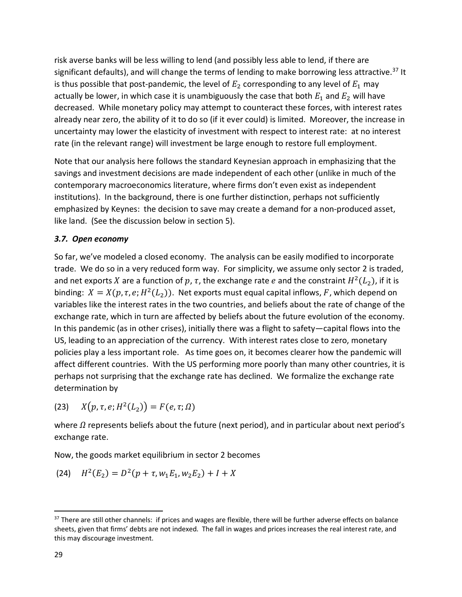risk averse banks will be less willing to lend (and possibly less able to lend, if there are significant defaults), and will change the terms of lending to make borrowing less attractive.<sup>[37](#page-30-0)</sup> It is thus possible that post-pandemic, the level of  $E_2$  corresponding to any level of  $E_1$  may actually be lower, in which case it is unambiguously the case that both  $E_1$  and  $E_2$  will have decreased. While monetary policy may attempt to counteract these forces, with interest rates already near zero, the ability of it to do so (if it ever could) is limited. Moreover, the increase in uncertainty may lower the elasticity of investment with respect to interest rate: at no interest rate (in the relevant range) will investment be large enough to restore full employment.

Note that our analysis here follows the standard Keynesian approach in emphasizing that the savings and investment decisions are made independent of each other (unlike in much of the contemporary macroeconomics literature, where firms don't even exist as independent institutions). In the background, there is one further distinction, perhaps not sufficiently emphasized by Keynes: the decision to save may create a demand for a non-produced asset, like land. (See the discussion below in section 5).

### *3.7. Open economy*

So far, we've modeled a closed economy. The analysis can be easily modified to incorporate trade. We do so in a very reduced form way. For simplicity, we assume only sector 2 is traded, and net exports X are a function of p,  $\tau$ , the exchange rate e and the constraint  $H^2(L_2)$ , if it is binding:  $X = X(p, \tau, e; H^2(L_2))$ . Net exports must equal capital inflows, F, which depend on variables like the interest rates in the two countries, and beliefs about the rate of change of the exchange rate, which in turn are affected by beliefs about the future evolution of the economy. In this pandemic (as in other crises), initially there was a flight to safety—capital flows into the US, leading to an appreciation of the currency. With interest rates close to zero, monetary policies play a less important role. As time goes on, it becomes clearer how the pandemic will affect different countries. With the US performing more poorly than many other countries, it is perhaps not surprising that the exchange rate has declined. We formalize the exchange rate determination by

(23)  $X(p, \tau, e; H^2(L_2)) = F(e, \tau; \Omega)$ 

where  $\Omega$  represents beliefs about the future (next period), and in particular about next period's exchange rate.

Now, the goods market equilibrium in sector 2 becomes

(24) 
$$
H^2(E_2) = D^2(p + \tau, w_1 E_1, w_2 E_2) + I + X
$$

<span id="page-30-0"></span> $37$  There are still other channels: if prices and wages are flexible, there will be further adverse effects on balance sheets, given that firms' debts are not indexed. The fall in wages and prices increases the real interest rate, and this may discourage investment.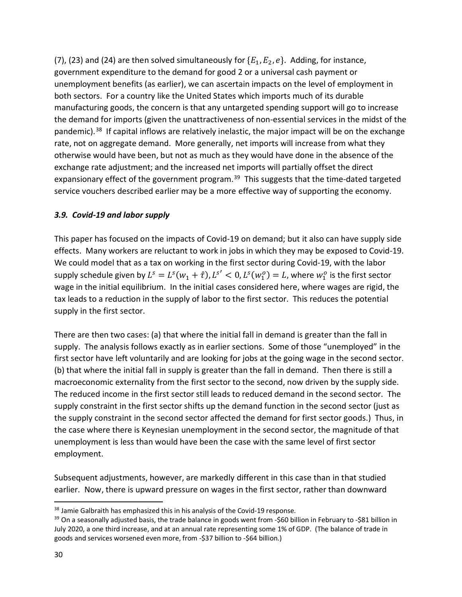(7), (23) and (24) are then solved simultaneously for  $\{E_1, E_2, e\}$ . Adding, for instance, government expenditure to the demand for good 2 or a universal cash payment or unemployment benefits (as earlier), we can ascertain impacts on the level of employment in both sectors. For a country like the United States which imports much of its durable manufacturing goods, the concern is that any untargeted spending support will go to increase the demand for imports (given the unattractiveness of non-essential services in the midst of the pandemic).<sup>[38](#page-31-0)</sup> If capital inflows are relatively inelastic, the major impact will be on the exchange rate, not on aggregate demand. More generally, net imports will increase from what they otherwise would have been, but not as much as they would have done in the absence of the exchange rate adjustment; and the increased net imports will partially offset the direct expansionary effect of the government program.<sup>[39](#page-31-1)</sup> This suggests that the time-dated targeted service vouchers described earlier may be a more effective way of supporting the economy.

### *3.9. Covid-19 and labor supply*

This paper has focused on the impacts of Covid-19 on demand; but it also can have supply side effects. Many workers are reluctant to work in jobs in which they may be exposed to Covid-19. We could model that as a tax on working in the first sector during Covid-19, with the labor supply schedule given by  $L^s = L^s(w_1 + \hat{\tau})$ ,  $L^{s'} < 0$ ,  $L^s(w_1^o) = L$ , where  $w_1^o$  is the first sector wage in the initial equilibrium. In the initial cases considered here, where wages are rigid, the tax leads to a reduction in the supply of labor to the first sector. This reduces the potential supply in the first sector.

There are then two cases: (a) that where the initial fall in demand is greater than the fall in supply. The analysis follows exactly as in earlier sections. Some of those "unemployed" in the first sector have left voluntarily and are looking for jobs at the going wage in the second sector. (b) that where the initial fall in supply is greater than the fall in demand. Then there is still a macroeconomic externality from the first sector to the second, now driven by the supply side. The reduced income in the first sector still leads to reduced demand in the second sector. The supply constraint in the first sector shifts up the demand function in the second sector (just as the supply constraint in the second sector affected the demand for first sector goods.) Thus, in the case where there is Keynesian unemployment in the second sector, the magnitude of that unemployment is less than would have been the case with the same level of first sector employment.

Subsequent adjustments, however, are markedly different in this case than in that studied earlier. Now, there is upward pressure on wages in the first sector, rather than downward

<span id="page-31-1"></span><span id="page-31-0"></span><sup>&</sup>lt;sup>38</sup> Jamie Galbraith has emphasized this in his analysis of the Covid-19 response.<br><sup>39</sup> On a seasonally adjusted basis, the trade balance in goods went from -\$60 billion in February to -\$81 billion in July 2020, a one third increase, and at an annual rate representing some 1% of GDP. (The balance of trade in goods and services worsened even more, from -\$37 billion to -\$64 billion.)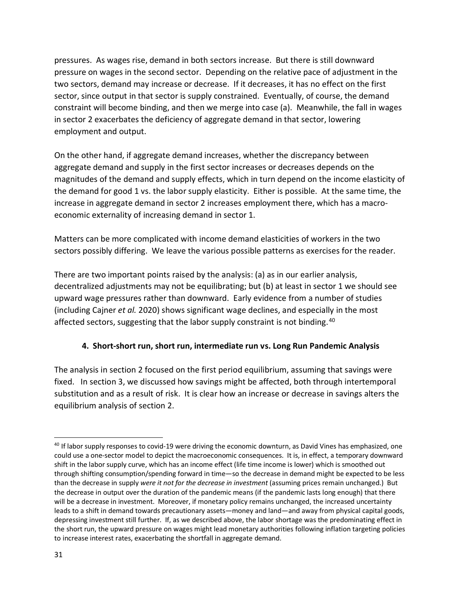pressures. As wages rise, demand in both sectors increase. But there is still downward pressure on wages in the second sector. Depending on the relative pace of adjustment in the two sectors, demand may increase or decrease. If it decreases, it has no effect on the first sector, since output in that sector is supply constrained. Eventually, of course, the demand constraint will become binding, and then we merge into case (a). Meanwhile, the fall in wages in sector 2 exacerbates the deficiency of aggregate demand in that sector, lowering employment and output.

On the other hand, if aggregate demand increases, whether the discrepancy between aggregate demand and supply in the first sector increases or decreases depends on the magnitudes of the demand and supply effects, which in turn depend on the income elasticity of the demand for good 1 vs. the labor supply elasticity. Either is possible. At the same time, the increase in aggregate demand in sector 2 increases employment there, which has a macroeconomic externality of increasing demand in sector 1.

Matters can be more complicated with income demand elasticities of workers in the two sectors possibly differing. We leave the various possible patterns as exercises for the reader.

There are two important points raised by the analysis: (a) as in our earlier analysis, decentralized adjustments may not be equilibrating; but (b) at least in sector 1 we should see upward wage pressures rather than downward. Early evidence from a number of studies (including Cajner *et al.* 2020) shows significant wage declines, and especially in the most affected sectors, suggesting that the labor supply constraint is not binding.<sup>[40](#page-32-0)</sup>

### **4. Short-short run, short run, intermediate run vs. Long Run Pandemic Analysis**

The analysis in section 2 focused on the first period equilibrium, assuming that savings were fixed. In section 3, we discussed how savings might be affected, both through intertemporal substitution and as a result of risk. It is clear how an increase or decrease in savings alters the equilibrium analysis of section 2.

<span id="page-32-0"></span><sup>&</sup>lt;sup>40</sup> If labor supply responses to covid-19 were driving the economic downturn, as David Vines has emphasized, one could use a one-sector model to depict the macroeconomic consequences. It is, in effect, a temporary downward shift in the labor supply curve, which has an income effect (life time income is lower) which is smoothed out through shifting consumption/spending forward in time—so the decrease in demand might be expected to be less than the decrease in supply *were it not for the decrease in investment* (assuming prices remain unchanged.) But the decrease in output over the duration of the pandemic means (if the pandemic lasts long enough) that there will be a decrease in investment. Moreover, if monetary policy remains unchanged, the increased uncertainty leads to a shift in demand towards precautionary assets—money and land—and away from physical capital goods, depressing investment still further. If, as we described above, the labor shortage was the predominating effect in the short run, the upward pressure on wages might lead monetary authorities following inflation targeting policies to increase interest rates, exacerbating the shortfall in aggregate demand.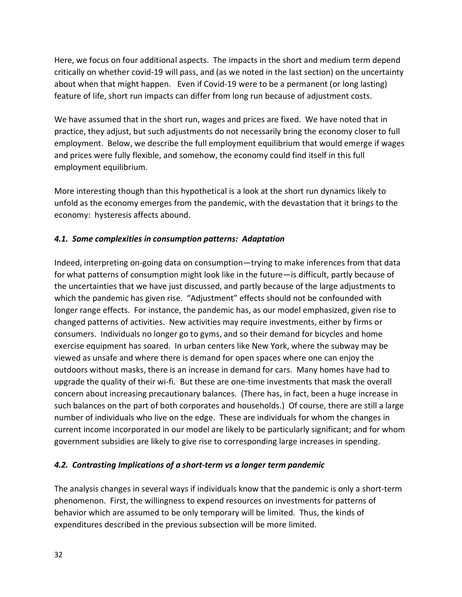Here, we focus on four additional aspects. The impacts in the short and medium term depend critically on whether covid-19 will pass, and (as we noted in the last section) on the uncertainty about when that might happen. Even if Covid-19 were to be a permanent (or long lasting) feature of life, short run impacts can differ from long run because of adjustment costs.

We have assumed that in the short run, wages and prices are fixed. We have noted that in practice, they adjust, but such adjustments do not necessarily bring the economy closer to full employment. Below, we describe the full employment equilibrium that would emerge if wages and prices were fully flexible, and somehow, the economy could find itself in this full employment equilibrium.

More interesting though than this hypothetical is a look at the short run dynamics likely to unfold as the economy emerges from the pandemic, with the devastation that it brings to the economy: hysteresis affects abound.

# *4.1. Some complexities in consumption patterns: Adaptation*

Indeed, interpreting on-going data on consumption—trying to make inferences from that data for what patterns of consumption might look like in the future—is difficult, partly because of the uncertainties that we have just discussed, and partly because of the large adjustments to which the pandemic has given rise. "Adjustment" effects should not be confounded with longer range effects. For instance, the pandemic has, as our model emphasized, given rise to changed patterns of activities. New activities may require investments, either by firms or consumers. Individuals no longer go to gyms, and so their demand for bicycles and home exercise equipment has soared. In urban centers like New York, where the subway may be viewed as unsafe and where there is demand for open spaces where one can enjoy the outdoors without masks, there is an increase in demand for cars. Many homes have had to upgrade the quality of their wi-fi. But these are one-time investments that mask the overall concern about increasing precautionary balances. (There has, in fact, been a huge increase in such balances on the part of both corporates and households.) Of course, there are still a large number of individuals who live on the edge. These are individuals for whom the changes in current income incorporated in our model are likely to be particularly significant; and for whom government subsidies are likely to give rise to corresponding large increases in spending.

### *4.2. Contrasting Implications of a short-term vs a longer term pandemic*

The analysis changes in several ways if individuals know that the pandemic is only a short-term phenomenon. First, the willingness to expend resources on investments for patterns of behavior which are assumed to be only temporary will be limited. Thus, the kinds of expenditures described in the previous subsection will be more limited.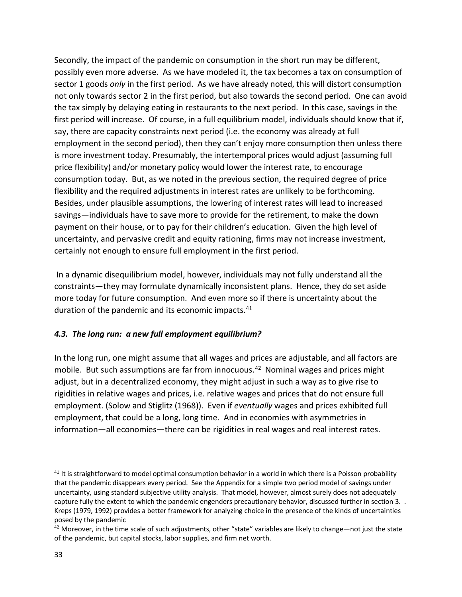Secondly, the impact of the pandemic on consumption in the short run may be different, possibly even more adverse. As we have modeled it, the tax becomes a tax on consumption of sector 1 goods *only* in the first period. As we have already noted, this will distort consumption not only towards sector 2 in the first period, but also towards the second period. One can avoid the tax simply by delaying eating in restaurants to the next period. In this case, savings in the first period will increase. Of course, in a full equilibrium model, individuals should know that if, say, there are capacity constraints next period (i.e. the economy was already at full employment in the second period), then they can't enjoy more consumption then unless there is more investment today. Presumably, the intertemporal prices would adjust (assuming full price flexibility) and/or monetary policy would lower the interest rate, to encourage consumption today. But, as we noted in the previous section, the required degree of price flexibility and the required adjustments in interest rates are unlikely to be forthcoming. Besides, under plausible assumptions, the lowering of interest rates will lead to increased savings—individuals have to save more to provide for the retirement, to make the down payment on their house, or to pay for their children's education. Given the high level of uncertainty, and pervasive credit and equity rationing, firms may not increase investment, certainly not enough to ensure full employment in the first period.

In a dynamic disequilibrium model, however, individuals may not fully understand all the constraints—they may formulate dynamically inconsistent plans. Hence, they do set aside more today for future consumption. And even more so if there is uncertainty about the duration of the pandemic and its economic impacts.<sup>[41](#page-34-0)</sup>

### *4.3. The long run: a new full employment equilibrium?*

In the long run, one might assume that all wages and prices are adjustable, and all factors are mobile. But such assumptions are far from innocuous.<sup>[42](#page-34-1)</sup> Nominal wages and prices might adjust, but in a decentralized economy, they might adjust in such a way as to give rise to rigidities in relative wages and prices, i.e. relative wages and prices that do not ensure full employment. (Solow and Stiglitz (1968)). Even if *eventually* wages and prices exhibited full employment, that could be a long, long time. And in economies with asymmetries in information—all economies—there can be rigidities in real wages and real interest rates.

<span id="page-34-0"></span> $41$  It is straightforward to model optimal consumption behavior in a world in which there is a Poisson probability that the pandemic disappears every period. See the Appendix for a simple two period model of savings under uncertainty, using standard subjective utility analysis. That model, however, almost surely does not adequately capture fully the extent to which the pandemic engenders precautionary behavior, discussed further in section 3. Kreps (1979, 1992) provides a better framework for analyzing choice in the presence of the kinds of uncertainties posed by the pandemic

<span id="page-34-1"></span><sup>42</sup> Moreover, in the time scale of such adjustments, other "state" variables are likely to change—not just the state of the pandemic, but capital stocks, labor supplies, and firm net worth.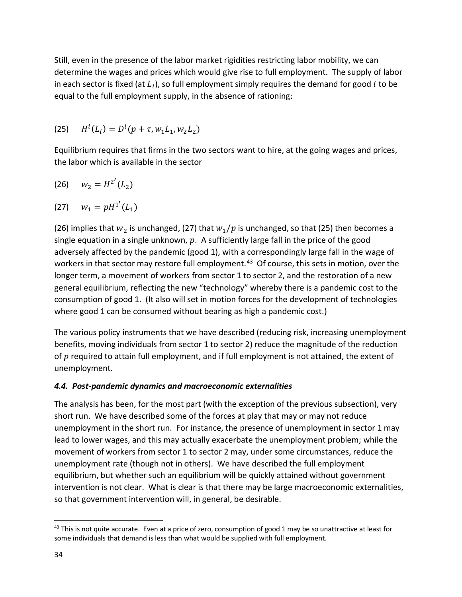Still, even in the presence of the labor market rigidities restricting labor mobility, we can determine the wages and prices which would give rise to full employment. The supply of labor in each sector is fixed (at  $L_i$ ), so full employment simply requires the demand for good i to be equal to the full employment supply, in the absence of rationing:

(25) 
$$
H^{i}(L_{i}) = D^{i}(p + \tau, w_{1}L_{1}, w_{2}L_{2})
$$

Equilibrium requires that firms in the two sectors want to hire, at the going wages and prices, the labor which is available in the sector

$$
(26) \t w_2 = H^{2'}(L_2)
$$

(27) 
$$
w_1 = pH^{1'}(L_1)
$$

(26) implies that  $w_2$  is unchanged, (27) that  $w_1/p$  is unchanged, so that (25) then becomes a single equation in a single unknown,  $p$ . A sufficiently large fall in the price of the good adversely affected by the pandemic (good 1), with a correspondingly large fall in the wage of workers in that sector may restore full employment.<sup>[43](#page-35-0)</sup> Of course, this sets in motion, over the longer term, a movement of workers from sector 1 to sector 2, and the restoration of a new general equilibrium, reflecting the new "technology" whereby there is a pandemic cost to the consumption of good 1. (It also will set in motion forces for the development of technologies where good 1 can be consumed without bearing as high a pandemic cost.)

The various policy instruments that we have described (reducing risk, increasing unemployment benefits, moving individuals from sector 1 to sector 2) reduce the magnitude of the reduction of  $p$  required to attain full employment, and if full employment is not attained, the extent of unemployment.

### *4.4. Post-pandemic dynamics and macroeconomic externalities*

The analysis has been, for the most part (with the exception of the previous subsection), very short run. We have described some of the forces at play that may or may not reduce unemployment in the short run. For instance, the presence of unemployment in sector 1 may lead to lower wages, and this may actually exacerbate the unemployment problem; while the movement of workers from sector 1 to sector 2 may, under some circumstances, reduce the unemployment rate (though not in others). We have described the full employment equilibrium, but whether such an equilibrium will be quickly attained without government intervention is not clear. What is clear is that there may be large macroeconomic externalities, so that government intervention will, in general, be desirable.

<span id="page-35-0"></span> $43$  This is not quite accurate. Even at a price of zero, consumption of good 1 may be so unattractive at least for some individuals that demand is less than what would be supplied with full employment.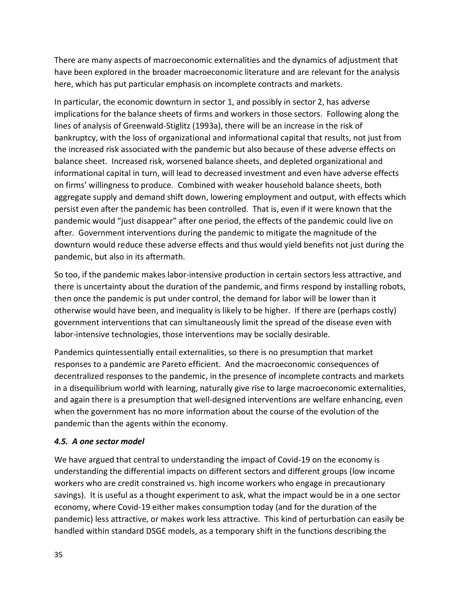There are many aspects of macroeconomic externalities and the dynamics of adjustment that have been explored in the broader macroeconomic literature and are relevant for the analysis here, which has put particular emphasis on incomplete contracts and markets.

In particular, the economic downturn in sector 1, and possibly in sector 2, has adverse implications for the balance sheets of firms and workers in those sectors. Following along the lines of analysis of Greenwald-Stiglitz (1993a), there will be an increase in the risk of bankruptcy, with the loss of organizational and informational capital that results, not just from the increased risk associated with the pandemic but also because of these adverse effects on balance sheet. Increased risk, worsened balance sheets, and depleted organizational and informational capital in turn, will lead to decreased investment and even have adverse effects on firms' willingness to produce. Combined with weaker household balance sheets, both aggregate supply and demand shift down, lowering employment and output, with effects which persist even after the pandemic has been controlled. That is, even if it were known that the pandemic would "just disappear" after one period, the effects of the pandemic could live on after. Government interventions during the pandemic to mitigate the magnitude of the downturn would reduce these adverse effects and thus would yield benefits not just during the pandemic, but also in its aftermath.

So too, if the pandemic makes labor-intensive production in certain sectors less attractive, and there is uncertainty about the duration of the pandemic, and firms respond by installing robots, then once the pandemic is put under control, the demand for labor will be lower than it otherwise would have been, and inequality is likely to be higher. If there are (perhaps costly) government interventions that can simultaneously limit the spread of the disease even with labor-intensive technologies, those interventions may be socially desirable.

Pandemics quintessentially entail externalities, so there is no presumption that market responses to a pandemic are Pareto efficient. And the macroeconomic consequences of decentralized responses to the pandemic, in the presence of incomplete contracts and markets in a disequilibrium world with learning, naturally give rise to large macroeconomic externalities, and again there is a presumption that well-designed interventions are welfare enhancing, even when the government has no more information about the course of the evolution of the pandemic than the agents within the economy.

### *4.5. A one sector model*

We have argued that central to understanding the impact of Covid-19 on the economy is understanding the differential impacts on different sectors and different groups (low income workers who are credit constrained vs. high income workers who engage in precautionary savings). It is useful as a thought experiment to ask, what the impact would be in a one sector economy, where Covid-19 either makes consumption today (and for the duration of the pandemic) less attractive, or makes work less attractive. This kind of perturbation can easily be handled within standard DSGE models, as a temporary shift in the functions describing the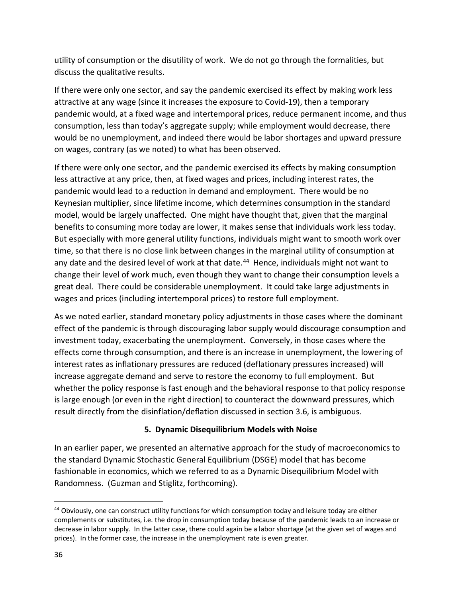utility of consumption or the disutility of work. We do not go through the formalities, but discuss the qualitative results.

If there were only one sector, and say the pandemic exercised its effect by making work less attractive at any wage (since it increases the exposure to Covid-19), then a temporary pandemic would, at a fixed wage and intertemporal prices, reduce permanent income, and thus consumption, less than today's aggregate supply; while employment would decrease, there would be no unemployment, and indeed there would be labor shortages and upward pressure on wages, contrary (as we noted) to what has been observed.

If there were only one sector, and the pandemic exercised its effects by making consumption less attractive at any price, then, at fixed wages and prices, including interest rates, the pandemic would lead to a reduction in demand and employment. There would be no Keynesian multiplier, since lifetime income, which determines consumption in the standard model, would be largely unaffected. One might have thought that, given that the marginal benefits to consuming more today are lower, it makes sense that individuals work less today. But especially with more general utility functions, individuals might want to smooth work over time, so that there is no close link between changes in the marginal utility of consumption at any date and the desired level of work at that date.<sup>[44](#page-37-0)</sup> Hence, individuals might not want to change their level of work much, even though they want to change their consumption levels a great deal. There could be considerable unemployment. It could take large adjustments in wages and prices (including intertemporal prices) to restore full employment.

As we noted earlier, standard monetary policy adjustments in those cases where the dominant effect of the pandemic is through discouraging labor supply would discourage consumption and investment today, exacerbating the unemployment. Conversely, in those cases where the effects come through consumption, and there is an increase in unemployment, the lowering of interest rates as inflationary pressures are reduced (deflationary pressures increased) will increase aggregate demand and serve to restore the economy to full employment. But whether the policy response is fast enough and the behavioral response to that policy response is large enough (or even in the right direction) to counteract the downward pressures, which result directly from the disinflation/deflation discussed in section 3.6, is ambiguous.

### **5. Dynamic Disequilibrium Models with Noise**

In an earlier paper, we presented an alternative approach for the study of macroeconomics to the standard Dynamic Stochastic General Equilibrium (DSGE) model that has become fashionable in economics, which we referred to as a Dynamic Disequilibrium Model with Randomness. (Guzman and Stiglitz, forthcoming).

<span id="page-37-0"></span><sup>44</sup> Obviously, one can construct utility functions for which consumption today and leisure today are either complements or substitutes, i.e. the drop in consumption today because of the pandemic leads to an increase or decrease in labor supply. In the latter case, there could again be a labor shortage (at the given set of wages and prices). In the former case, the increase in the unemployment rate is even greater.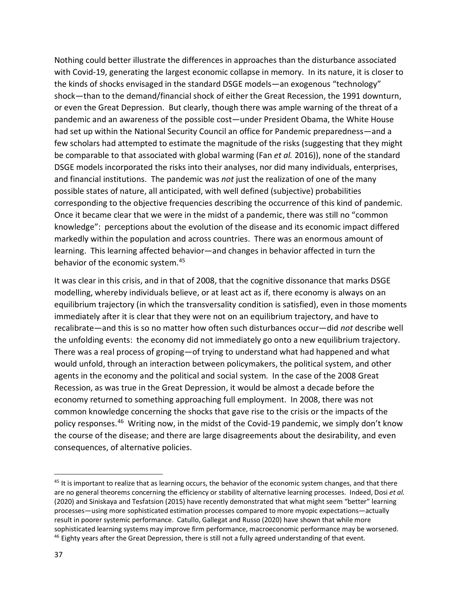Nothing could better illustrate the differences in approaches than the disturbance associated with Covid-19, generating the largest economic collapse in memory. In its nature, it is closer to the kinds of shocks envisaged in the standard DSGE models—an exogenous "technology" shock—than to the demand/financial shock of either the Great Recession, the 1991 downturn, or even the Great Depression. But clearly, though there was ample warning of the threat of a pandemic and an awareness of the possible cost—under President Obama, the White House had set up within the National Security Council an office for Pandemic preparedness—and a few scholars had attempted to estimate the magnitude of the risks (suggesting that they might be comparable to that associated with global warming (Fan *et al.* 2016)), none of the standard DSGE models incorporated the risks into their analyses, nor did many individuals, enterprises, and financial institutions. The pandemic was *not* just the realization of one of the many possible states of nature, all anticipated, with well defined (subjective) probabilities corresponding to the objective frequencies describing the occurrence of this kind of pandemic. Once it became clear that we were in the midst of a pandemic, there was still no "common knowledge": perceptions about the evolution of the disease and its economic impact differed markedly within the population and across countries. There was an enormous amount of learning. This learning affected behavior—and changes in behavior affected in turn the behavior of the economic system[.45](#page-38-0)

It was clear in this crisis, and in that of 2008, that the cognitive dissonance that marks DSGE modelling, whereby individuals believe, or at least act as if, there economy is always on an equilibrium trajectory (in which the transversality condition is satisfied), even in those moments immediately after it is clear that they were not on an equilibrium trajectory, and have to recalibrate—and this is so no matter how often such disturbances occur—did *not* describe well the unfolding events: the economy did not immediately go onto a new equilibrium trajectory. There was a real process of groping—of trying to understand what had happened and what would unfold, through an interaction between policymakers, the political system, and other agents in the economy and the political and social system. In the case of the 2008 Great Recession, as was true in the Great Depression, it would be almost a decade before the economy returned to something approaching full employment. In 2008, there was not common knowledge concerning the shocks that gave rise to the crisis or the impacts of the policy responses.[46](#page-38-1) Writing now, in the midst of the Covid-19 pandemic, we simply don't know the course of the disease; and there are large disagreements about the desirability, and even consequences, of alternative policies.

<span id="page-38-1"></span><span id="page-38-0"></span> $45$  It is important to realize that as learning occurs, the behavior of the economic system changes, and that there are no general theorems concerning the efficiency or stability of alternative learning processes. Indeed, Dosi *et al.* (2020) and Siniskaya and Tesfatsion (2015) have recently demonstrated that what might seem "better" learning processes—using more sophisticated estimation processes compared to more myopic expectations—actually result in poorer systemic performance. Catullo, Gallegat and Russo (2020) have shown that while more sophisticated learning systems may improve firm performance, macroeconomic performance may be worsened. <sup>46</sup> Eighty years after the Great Depression, there is still not a fully agreed understanding of that event.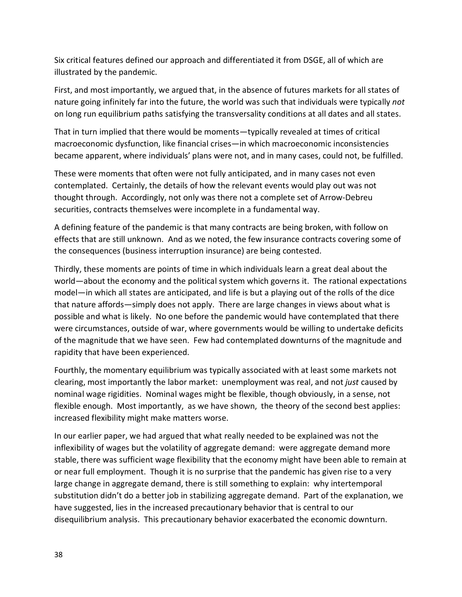Six critical features defined our approach and differentiated it from DSGE, all of which are illustrated by the pandemic.

First, and most importantly, we argued that, in the absence of futures markets for all states of nature going infinitely far into the future, the world was such that individuals were typically *not* on long run equilibrium paths satisfying the transversality conditions at all dates and all states.

That in turn implied that there would be moments—typically revealed at times of critical macroeconomic dysfunction, like financial crises—in which macroeconomic inconsistencies became apparent, where individuals' plans were not, and in many cases, could not, be fulfilled.

These were moments that often were not fully anticipated, and in many cases not even contemplated. Certainly, the details of how the relevant events would play out was not thought through. Accordingly, not only was there not a complete set of Arrow-Debreu securities, contracts themselves were incomplete in a fundamental way.

A defining feature of the pandemic is that many contracts are being broken, with follow on effects that are still unknown. And as we noted, the few insurance contracts covering some of the consequences (business interruption insurance) are being contested.

Thirdly, these moments are points of time in which individuals learn a great deal about the world—about the economy and the political system which governs it. The rational expectations model—in which all states are anticipated, and life is but a playing out of the rolls of the dice that nature affords—simply does not apply. There are large changes in views about what is possible and what is likely. No one before the pandemic would have contemplated that there were circumstances, outside of war, where governments would be willing to undertake deficits of the magnitude that we have seen. Few had contemplated downturns of the magnitude and rapidity that have been experienced.

Fourthly, the momentary equilibrium was typically associated with at least some markets not clearing, most importantly the labor market: unemployment was real, and not *just* caused by nominal wage rigidities. Nominal wages might be flexible, though obviously, in a sense, not flexible enough. Most importantly, as we have shown, the theory of the second best applies: increased flexibility might make matters worse.

In our earlier paper, we had argued that what really needed to be explained was not the inflexibility of wages but the volatility of aggregate demand: were aggregate demand more stable, there was sufficient wage flexibility that the economy might have been able to remain at or near full employment. Though it is no surprise that the pandemic has given rise to a very large change in aggregate demand, there is still something to explain: why intertemporal substitution didn't do a better job in stabilizing aggregate demand. Part of the explanation, we have suggested, lies in the increased precautionary behavior that is central to our disequilibrium analysis. This precautionary behavior exacerbated the economic downturn.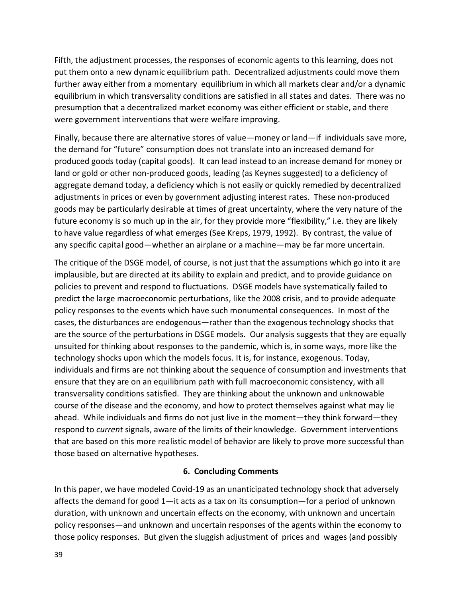Fifth, the adjustment processes, the responses of economic agents to this learning, does not put them onto a new dynamic equilibrium path. Decentralized adjustments could move them further away either from a momentary equilibrium in which all markets clear and/or a dynamic equilibrium in which transversality conditions are satisfied in all states and dates. There was no presumption that a decentralized market economy was either efficient or stable, and there were government interventions that were welfare improving.

Finally, because there are alternative stores of value—money or land—if individuals save more, the demand for "future" consumption does not translate into an increased demand for produced goods today (capital goods). It can lead instead to an increase demand for money or land or gold or other non-produced goods, leading (as Keynes suggested) to a deficiency of aggregate demand today, a deficiency which is not easily or quickly remedied by decentralized adjustments in prices or even by government adjusting interest rates. These non-produced goods may be particularly desirable at times of great uncertainty, where the very nature of the future economy is so much up in the air, for they provide more "flexibility," i.e. they are likely to have value regardless of what emerges (See Kreps, 1979, 1992). By contrast, the value of any specific capital good—whether an airplane or a machine—may be far more uncertain.

The critique of the DSGE model, of course, is not just that the assumptions which go into it are implausible, but are directed at its ability to explain and predict, and to provide guidance on policies to prevent and respond to fluctuations. DSGE models have systematically failed to predict the large macroeconomic perturbations, like the 2008 crisis, and to provide adequate policy responses to the events which have such monumental consequences. In most of the cases, the disturbances are endogenous—rather than the exogenous technology shocks that are the source of the perturbations in DSGE models. Our analysis suggests that they are equally unsuited for thinking about responses to the pandemic, which is, in some ways, more like the technology shocks upon which the models focus. It is, for instance, exogenous. Today, individuals and firms are not thinking about the sequence of consumption and investments that ensure that they are on an equilibrium path with full macroeconomic consistency, with all transversality conditions satisfied. They are thinking about the unknown and unknowable course of the disease and the economy, and how to protect themselves against what may lie ahead. While individuals and firms do not just live in the moment—they think forward—they respond to *current* signals, aware of the limits of their knowledge. Government interventions that are based on this more realistic model of behavior are likely to prove more successful than those based on alternative hypotheses.

### **6. Concluding Comments**

In this paper, we have modeled Covid-19 as an unanticipated technology shock that adversely affects the demand for good 1—it acts as a tax on its consumption—for a period of unknown duration, with unknown and uncertain effects on the economy, with unknown and uncertain policy responses—and unknown and uncertain responses of the agents within the economy to those policy responses. But given the sluggish adjustment of prices and wages (and possibly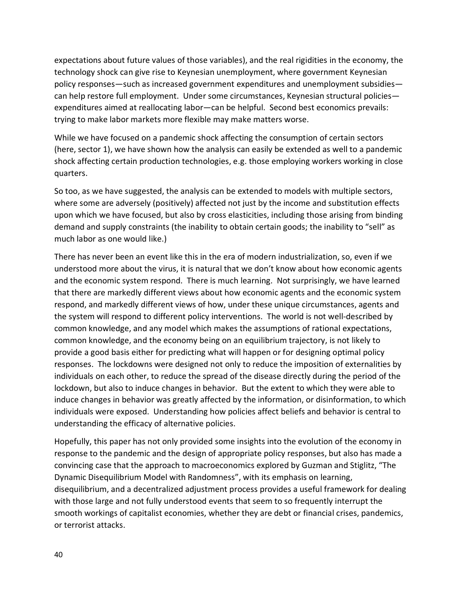expectations about future values of those variables), and the real rigidities in the economy, the technology shock can give rise to Keynesian unemployment, where government Keynesian policy responses—such as increased government expenditures and unemployment subsidies can help restore full employment. Under some circumstances, Keynesian structural policies expenditures aimed at reallocating labor—can be helpful. Second best economics prevails: trying to make labor markets more flexible may make matters worse.

While we have focused on a pandemic shock affecting the consumption of certain sectors (here, sector 1), we have shown how the analysis can easily be extended as well to a pandemic shock affecting certain production technologies, e.g. those employing workers working in close quarters.

So too, as we have suggested, the analysis can be extended to models with multiple sectors, where some are adversely (positively) affected not just by the income and substitution effects upon which we have focused, but also by cross elasticities, including those arising from binding demand and supply constraints (the inability to obtain certain goods; the inability to "sell" as much labor as one would like.)

There has never been an event like this in the era of modern industrialization, so, even if we understood more about the virus, it is natural that we don't know about how economic agents and the economic system respond. There is much learning. Not surprisingly, we have learned that there are markedly different views about how economic agents and the economic system respond, and markedly different views of how, under these unique circumstances, agents and the system will respond to different policy interventions. The world is not well-described by common knowledge, and any model which makes the assumptions of rational expectations, common knowledge, and the economy being on an equilibrium trajectory, is not likely to provide a good basis either for predicting what will happen or for designing optimal policy responses. The lockdowns were designed not only to reduce the imposition of externalities by individuals on each other, to reduce the spread of the disease directly during the period of the lockdown, but also to induce changes in behavior. But the extent to which they were able to induce changes in behavior was greatly affected by the information, or disinformation, to which individuals were exposed. Understanding how policies affect beliefs and behavior is central to understanding the efficacy of alternative policies.

Hopefully, this paper has not only provided some insights into the evolution of the economy in response to the pandemic and the design of appropriate policy responses, but also has made a convincing case that the approach to macroeconomics explored by Guzman and Stiglitz, "The Dynamic Disequilibrium Model with Randomness", with its emphasis on learning, disequilibrium, and a decentralized adjustment process provides a useful framework for dealing with those large and not fully understood events that seem to so frequently interrupt the smooth workings of capitalist economies, whether they are debt or financial crises, pandemics, or terrorist attacks.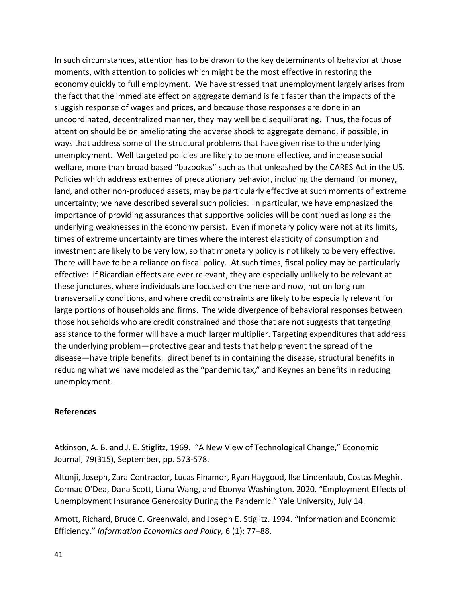In such circumstances, attention has to be drawn to the key determinants of behavior at those moments, with attention to policies which might be the most effective in restoring the economy quickly to full employment. We have stressed that unemployment largely arises from the fact that the immediate effect on aggregate demand is felt faster than the impacts of the sluggish response of wages and prices, and because those responses are done in an uncoordinated, decentralized manner, they may well be disequilibrating. Thus, the focus of attention should be on ameliorating the adverse shock to aggregate demand, if possible, in ways that address some of the structural problems that have given rise to the underlying unemployment. Well targeted policies are likely to be more effective, and increase social welfare, more than broad based "bazookas" such as that unleashed by the CARES Act in the US. Policies which address extremes of precautionary behavior, including the demand for money, land, and other non-produced assets, may be particularly effective at such moments of extreme uncertainty; we have described several such policies. In particular, we have emphasized the importance of providing assurances that supportive policies will be continued as long as the underlying weaknesses in the economy persist. Even if monetary policy were not at its limits, times of extreme uncertainty are times where the interest elasticity of consumption and investment are likely to be very low, so that monetary policy is not likely to be very effective. There will have to be a reliance on fiscal policy. At such times, fiscal policy may be particularly effective: if Ricardian effects are ever relevant, they are especially unlikely to be relevant at these junctures, where individuals are focused on the here and now, not on long run transversality conditions, and where credit constraints are likely to be especially relevant for large portions of households and firms. The wide divergence of behavioral responses between those households who are credit constrained and those that are not suggests that targeting assistance to the former will have a much larger multiplier. Targeting expenditures that address the underlying problem—protective gear and tests that help prevent the spread of the disease—have triple benefits: direct benefits in containing the disease, structural benefits in reducing what we have modeled as the "pandemic tax," and Keynesian benefits in reducing unemployment.

#### **References**

Atkinson, A. B. and J. E. Stiglitz, 1969. "A New View of Technological Change," Economic Journal, 79(315), September, pp. 573-578.

Altonji, Joseph, Zara Contractor, Lucas Finamor, Ryan Haygood, Ilse Lindenlaub, Costas Meghir, Cormac O'Dea, Dana Scott, Liana Wang, and Ebonya Washington. 2020. "Employment Effects of Unemployment Insurance Generosity During the Pandemic." Yale University, July 14.

Arnott, Richard, Bruce C. Greenwald, and Joseph E. Stiglitz. 1994. "Information and Economic Efficiency." *Information Economics and Policy,* 6 (1): 77–88.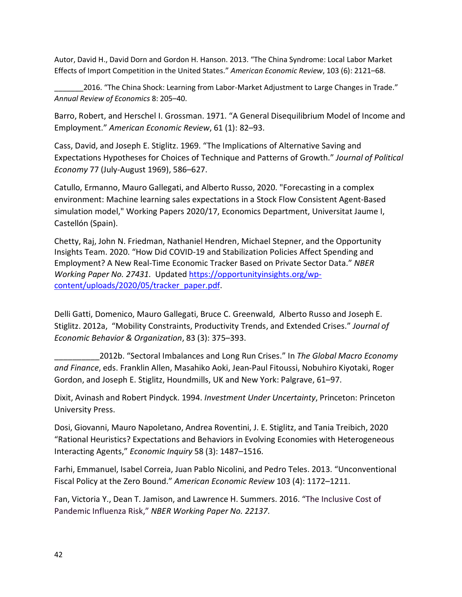Autor, David H., David Dorn and Gordon H. Hanson. 2013. "The China Syndrome: Local Labor Market Effects of Import Competition in the United States." *American Economic Review*, 103 (6): 2121–68.

2016. "The China Shock: Learning from Labor-Market Adjustment to Large Changes in Trade." *Annual Review of Economics* 8: 205–40.

Barro, Robert, and Herschel I. Grossman. 1971. "A General Disequilibrium Model of Income and Employment." *American Economic Review*, 61 (1): 82–93.

Cass, David, and Joseph E. Stiglitz. 1969. "The Implications of Alternative Saving and Expectations Hypotheses for Choices of Technique and Patterns of Growth." *Journal of Political Economy* 77 (July-August 1969), 586–627.

Catullo, Ermanno, Mauro Gallegati, and Alberto Russo, 2020. ["Forecasting in a complex](https://ideas.repec.org/p/jau/wpaper/2020-17.html)  [environment: Machine learning sales expectations in a Stock Flow Consistent Agent-Based](https://ideas.repec.org/p/jau/wpaper/2020-17.html)  [simulation model,](https://ideas.repec.org/p/jau/wpaper/2020-17.html)" [Working Papers](https://ideas.repec.org/s/jau/wpaper.html) 2020/17, Economics Department, Universitat Jaume I, Castellón (Spain).

Chetty, Raj, John N. Friedman, Nathaniel Hendren, Michael Stepner, and the Opportunity Insights Team. 2020. "How Did COVID-19 and Stabilization Policies Affect Spending and Employment? A New Real-Time Economic Tracker Based on Private Sector Data." *NBER Working Paper No. 27431*. Updated [https://opportunityinsights.org/wp](https://opportunityinsights.org/wp-content/uploads/2020/05/tracker_paper.pdf)[content/uploads/2020/05/tracker\\_paper.pdf.](https://opportunityinsights.org/wp-content/uploads/2020/05/tracker_paper.pdf)

Delli Gatti, Domenico, Mauro Gallegati, Bruce C. Greenwald, Alberto Russo and Joseph E. Stiglitz. 2012a, "Mobility Constraints, Productivity Trends, and Extended Crises." *Journal of Economic Behavior & Organization*, 83 (3): 375–393.

\_\_\_\_\_\_\_\_\_\_2012b. "Sectoral Imbalances and Long Run Crises." In *The Global Macro Economy and Finance*, eds. Franklin Allen, Masahiko Aoki, Jean-Paul Fitoussi, Nobuhiro Kiyotaki, Roger Gordon, and Joseph E. Stiglitz, Houndmills, UK and New York: Palgrave, 61–97.

Dixit, Avinash and Robert Pindyck. 1994. *Investment Under Uncertainty*, Princeton: Princeton University Press.

Dosi, Giovanni, Mauro Napoletano, Andrea Roventini, J. E. Stiglitz, and Tania Treibich, 2020 "Rational Heuristics? Expectations and Behaviors in Evolving Economies with Heterogeneous Interacting Agents," *Economic Inquiry* 58 (3): 1487–1516.

Farhi, Emmanuel, Isabel Correia, Juan Pablo Nicolini, and Pedro Teles. 2013. "Unconventional Fiscal Policy at the Zero Bound." *American Economic Review* 103 (4): 1172–1211.

[Fan,](https://www.nber.org/people/victoria_fan) Victoria Y., Dean T. Jamison, and Lawrence H. Summers. 2016. "The Inclusive Cost of Pandemic Influenza Risk," *NBER Working Paper No. 22137*.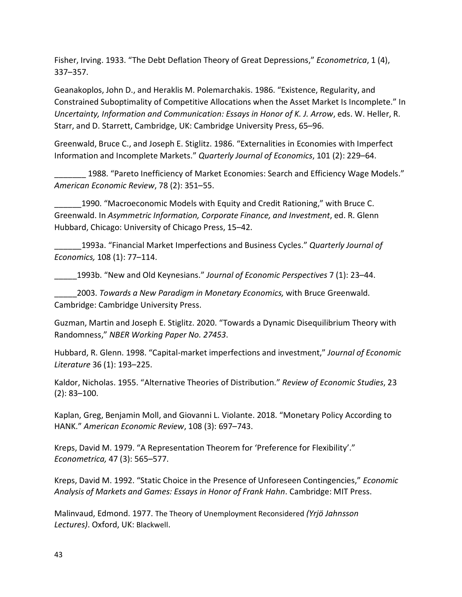Fisher, Irving. 1933. "The Debt Deflation Theory of Great Depressions," *Econometrica*, 1 (4), 337–357.

Geanakoplos, John D., and Heraklis M. Polemarchakis. 1986. "Existence, Regularity, and Constrained Suboptimality of Competitive Allocations when the Asset Market Is Incomplete." In *Uncertainty, Information and Communication: Essays in Honor of K. J. Arrow*, eds. W. Heller, R. Starr, and D. Starrett, Cambridge, UK: Cambridge University Press, 65–96.

Greenwald, Bruce C., and Joseph E. Stiglitz. 1986. "Externalities in Economies with Imperfect Information and Incomplete Markets." *Quarterly Journal of Economics*, 101 (2): 229–64.

1988. "Pareto Inefficiency of Market Economies: Search and Efficiency Wage Models." *American Economic Review*, 78 (2): 351–55.

\_\_\_\_\_\_1990. "Macroeconomic Models with Equity and Credit Rationing," with Bruce C. Greenwald. In *Asymmetric Information, Corporate Finance, and Investment*, ed. R. Glenn Hubbard, Chicago: University of Chicago Press, 15–42.

\_\_\_\_\_\_1993a. "Financial Market Imperfections and Business Cycles." *Quarterly Journal of Economics,* 108 (1): 77–114.

\_\_\_\_\_1993b. "New and Old Keynesians." *Journal of Economic Perspectives* 7 (1): 23–44.

\_\_\_\_\_2003. *Towards a New Paradigm in Monetary Economics,* with Bruce Greenwald. Cambridge: Cambridge University Press.

Guzman, Martin and Joseph E. Stiglitz. 2020. "Towards a Dynamic Disequilibrium Theory with Randomness," *NBER Working Paper No. 27453*.

Hubbard, R. Glenn. 1998. "Capital-market imperfections and investment," *Journal of Economic Literature* 36 (1): 193–225.

Kaldor, Nicholas. 1955. "Alternative Theories of Distribution." *Review of Economic Studies*, 23 (2): 83–100.

Kaplan, Greg, Benjamin Moll, and Giovanni L. Violante. 2018. "Monetary Policy According to HANK." *American Economic Review*, 108 (3): 697–743.

Kreps, David M. 1979. "A Representation Theorem for 'Preference for Flexibility'." *Econometrica,* 47 (3): 565–577.

Kreps, David M. 1992. "Static Choice in the Presence of Unforeseen Contingencies," *Economic Analysis of Markets and Games: Essays in Honor of Frank Hahn*. Cambridge: MIT Press.

Malinvaud, Edmond. 1977. The Theory of Unemployment Reconsidered *(Yrjö Jahnsson Lectures)*. Oxford, UK: Blackwell.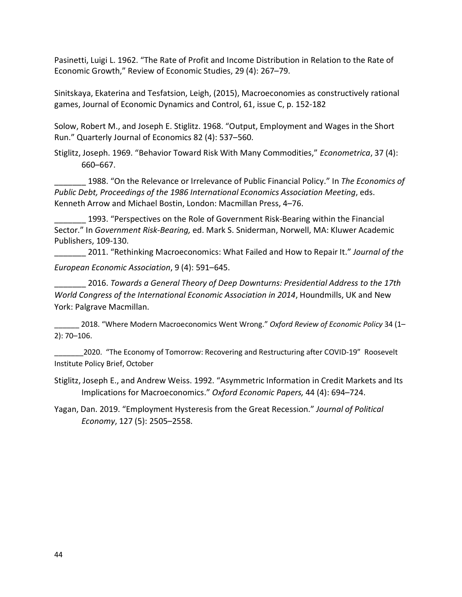Pasinetti, Luigi L. 1962. "The Rate of Profit and Income Distribution in Relation to the Rate of Economic Growth," Review of Economic Studies, 29 (4): 267–79.

Sinitskaya, Ekaterina and Tesfatsion, Leigh, (2015), Macroeconomies as constructively rational games, Journal of Economic Dynamics and Control, 61, issue C, p. 152-182

Solow, Robert M., and Joseph E. Stiglitz. 1968. "Output, Employment and Wages in the Short Run." Quarterly Journal of Economics 82 (4): 537–560.

Stiglitz, Joseph. 1969. "Behavior Toward Risk With Many Commodities," *Econometrica*, 37 (4): 660–667.

\_\_\_\_\_\_\_ 1988. "On the Relevance or Irrelevance of Public Financial Policy." In *The Economics of Public Debt, Proceedings of the 1986 International Economics Association Meeting*, eds. Kenneth Arrow and Michael Bostin, London: Macmillan Press, 4–76.

1993. "Perspectives on the Role of Government Risk-Bearing within the Financial Sector." In *Government Risk-Bearing,* ed. Mark S. Sniderman, Norwell, MA: Kluwer Academic Publishers, 109-130.

\_\_\_\_\_\_\_ 2011. "Rethinking Macroeconomics: What Failed and How to Repair It." *Journal of the European Economic Association*, 9 (4): 591–645.

\_\_\_\_\_\_\_ 2016. *Towards a General Theory of Deep Downturns: Presidential Address to the 17th World Congress of the International Economic Association in 2014*, Houndmills, UK and New York: Palgrave Macmillan.

\_\_\_\_\_\_ 2018. "Where Modern Macroeconomics Went Wrong." *Oxford Review of Economic Policy* 34 (1– 2): 70–106.

2020. "The Economy of Tomorrow: Recovering and Restructuring after COVID-19" Roosevelt Institute Policy Brief, October

Stiglitz, Joseph E., and Andrew Weiss. 1992. "Asymmetric Information in Credit Markets and Its Implications for Macroeconomics." *Oxford Economic Papers,* 44 (4): 694–724.

Yagan, Dan. 2019. "Employment Hysteresis from the Great Recession." *Journal of Political Economy*, 127 (5): 2505–2558.